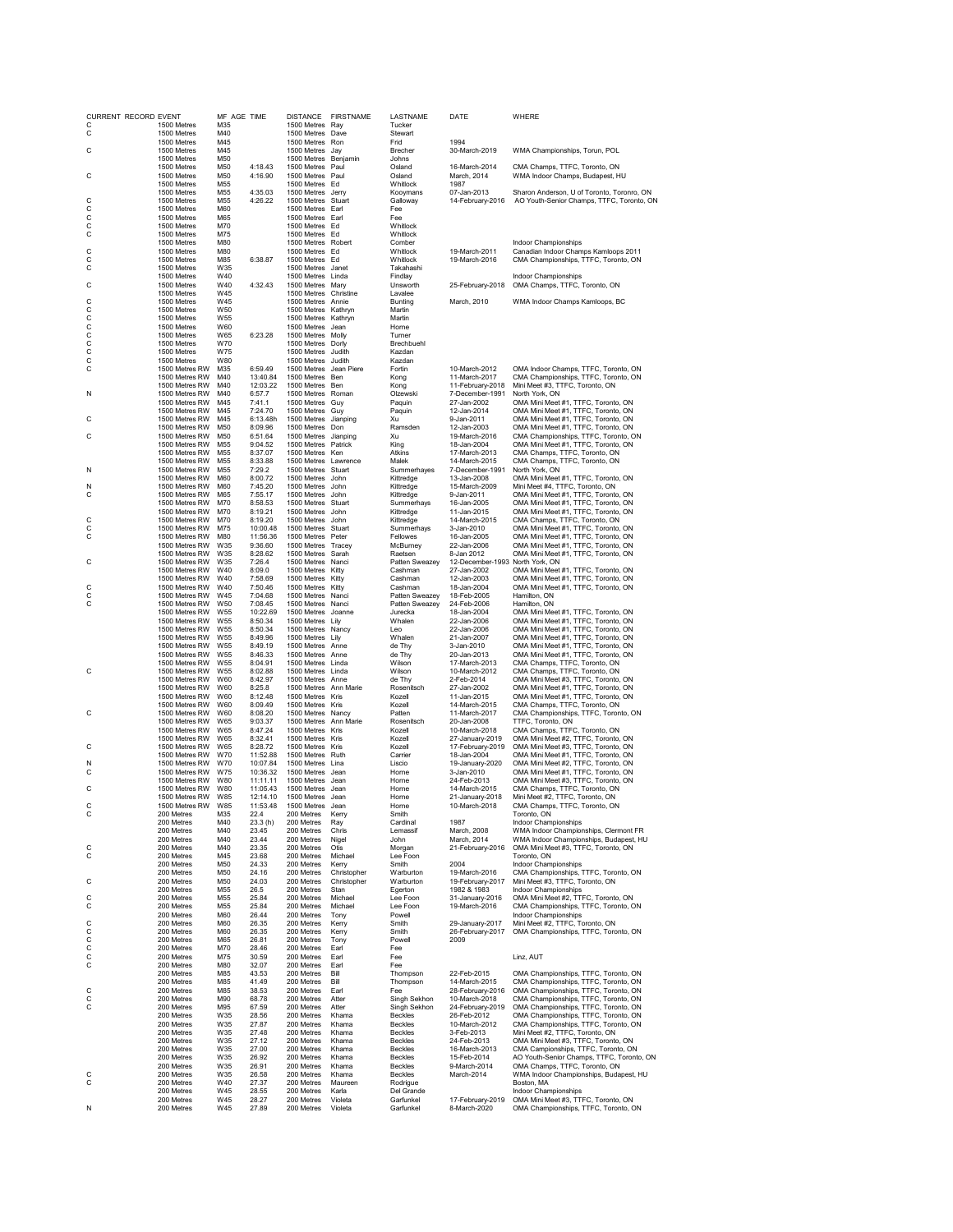| CURRENT RECORD EVENT<br>C | 1500 Metres                      | MF AGE TIME<br>M35                 |                      | 1500 Metres Ray                            | DISTANCE FIRSTNAME  | LASTNAME<br>Tucker           | DATE                                          | WHERE                                                                        |
|---------------------------|----------------------------------|------------------------------------|----------------------|--------------------------------------------|---------------------|------------------------------|-----------------------------------------------|------------------------------------------------------------------------------|
| С                         | 1500 Metres                      | M40                                |                      | 1500 Metres Dave                           |                     | Stewart                      |                                               |                                                                              |
|                           | 1500 Metres                      | M45                                |                      | 1500 Metres Ron                            |                     | Frid                         | 1994                                          |                                                                              |
| C                         | 1500 Metres<br>1500 Metres       | M45<br>M50                         |                      | 1500 Metres Jav<br>1500 Metres Benjamin    |                     | Brecher<br>Johns             | 30-March-2019                                 | WMA Championships, Torun, POL                                                |
|                           | 1500 Metres                      | M50                                | 4:18.43              | 1500 Metres Paul                           |                     | Osland                       | 16-March-2014                                 | CMA Champs, TTFC, Toronto, ON                                                |
| С                         | 1500 Metres                      | M50                                | 4:16.90              | 1500 Metres Paul                           |                     | Osland                       | March, 2014                                   | WMA Indoor Champs, Budapest, HU                                              |
|                           | 1500 Metres<br>1500 Metres       | M55<br>M55                         | 4:35.03              | 1500 Metres Ed<br>1500 Metres Jerry        |                     | Whitlock<br>Kooymans         | 1987<br>07-Jan-2013                           | Sharon Anderson, U of Toronto, Toronro, ON                                   |
| С                         | 1500 Metres                      | M55                                | 4:26.22              | 1500 Metres Stuart                         |                     | Galloway                     | 14-February-2016                              | AO Youth-Senior Champs, TTFC, Toronto, ON                                    |
| C<br>С                    | 1500 Metres<br>1500 Metres       | M60<br>M65                         |                      | 1500 Metres Earl<br>1500 Metres Earl       |                     | Fee<br>Fee                   |                                               |                                                                              |
| С                         | 1500 Metres                      | M70                                |                      | 1500 Metres Ed                             |                     | Whitlock                     |                                               |                                                                              |
| C                         | 1500 Metres                      | M75                                |                      | 1500 Metres Ed                             |                     | Whitlock                     |                                               |                                                                              |
| C                         | 1500 Metres<br>1500 Metres       | M80<br>M80                         |                      | 1500 Metres Robert<br>1500 Metres Ed       |                     | Comber<br>Whitlock           | 19-March-2011                                 | Indoor Championships<br>Canadian Indoor Champs Kamloops 2011                 |
| С                         | 1500 Metres                      | M85                                | 6:38.87              | 1500 Metres Ed                             |                     | Whitlock                     | 19-March-2016                                 | CMA Championships, TTFC, Toronto, ON                                         |
| С                         | 1500 Metres                      | W35                                |                      | 1500 Metres Janet                          |                     | Takahashi                    |                                               |                                                                              |
| С                         | 1500 Metres<br>1500 Metres       | W40<br>W40                         | 4:32.43              | 1500 Metres Linda<br>1500 Metres Mary      |                     | Findlay<br>Unsworth          | 25-February-2018                              | Indoor Championships<br>OMA Champs, TTFC, Toronto, ON                        |
|                           | 1500 Metres                      | W45                                |                      | 1500 Metres Christine                      |                     | Lavalee                      |                                               |                                                                              |
| С<br>С                    | 1500 Metres<br>1500 Metres       | W45<br>W <sub>50</sub>             |                      | 1500 Metres Annie<br>1500 Metres Kathryn   |                     | Bunting<br>Martin            | March, 2010                                   | WMA Indoor Champs Kamloops, BC                                               |
| С                         | 1500 Metres                      | W55                                |                      | 1500 Metres Kathryn                        |                     | Martin                       |                                               |                                                                              |
| С                         | 1500 Metres                      | W60                                |                      | 1500 Metres Jean                           |                     | Horne                        |                                               |                                                                              |
| C<br>С                    | 1500 Metres<br>1500 Metres       | W65<br>W70                         | 6:23.28              | 1500 Metres Molly<br>1500 Metres Dorly     |                     | Turner<br>Brechbuehl         |                                               |                                                                              |
| C                         | 1500 Metres                      | W75                                |                      | 1500 Metres Judith                         |                     | Kazdan                       |                                               |                                                                              |
| С                         | 1500 Metres                      | W80                                |                      | 1500 Metres Judith                         |                     | Kazdan                       |                                               |                                                                              |
| С                         | 1500 Metres RW<br>1500 Metres RW | M35<br>M40                         | 6:59.49<br>13:40.84  | 1500 Metres Jean Piere<br>1500 Metres Ben  |                     | Fortin<br>Kong               | 10-March-2012<br>11-March-2017                | OMA Indoor Champs, TTFC, Toronto, ON<br>CMA Championships, TTFC, Toronto, ON |
|                           | 1500 Metres RW                   | M40                                | 12:03.22             | 1500 Metres Ben                            |                     | Kong                         | 11-February-2018                              | Mini Meet #3, TTFC, Toronto, ON                                              |
| N                         | 1500 Metres RW<br>1500 Metres RW | M40<br>M45                         | 6:57.7<br>7:41.1     | 1500 Metres Roman<br>1500 Metres Guy       |                     | Olzewski<br>Paguin           | 7-December-1991<br>27-Jan-2002                | North York, ON<br>OMA Mini Meet #1, TTFC, Toronto, ON                        |
|                           | 1500 Metres RW                   | M45                                | 7:24.70              | 1500 Metres Guy                            |                     | Paquin                       | 12-Jan-2014                                   | OMA Mini Meet #1, TTFC, Toronto, ON                                          |
| С                         | 1500 Metres RW                   | M45                                | 6:13.48h             | 1500 Metres Jianping                       |                     | Xu                           | 9-Jan-2011                                    | OMA Mini Meet #1, TTFC, Toronto, ON                                          |
| С                         | 1500 Metres RW<br>1500 Metres RW | M50<br>M50                         | 8:09.96<br>6:51.64   | 1500 Metres Don<br>1500 Metres Jianping    |                     | Ramsden<br>Xu                | 12-Jan-2003<br>19-March-2016                  | OMA Mini Meet #1, TTFC, Toronto, ON<br>CMA Championships, TTFC, Toronto, ON  |
|                           | 1500 Metres RW                   | M55                                | 9:04.52              | 1500 Metres Patrick                        |                     | King                         | 18-Jan-2004                                   | OMA Mini Meet #1, TTFC, Toronto, ON                                          |
|                           | 1500 Metres RW                   | M55                                | 8:37.07              | 1500 Metres Ken                            |                     | Atkins                       | 17-March-2013                                 | CMA Champs, TTFC, Toronto, ON                                                |
| N                         | 1500 Metres RW<br>1500 Metres RW | M <sub>55</sub><br>M <sub>55</sub> | 8:33.88<br>7:29.2    | 1500 Metres Lawrence<br>1500 Metres Stuart |                     | Malek<br>Summerhayes         | 14-March-2015<br>7-December-1991              | CMA Champs, TTFC, Toronto, ON<br>North York, ON                              |
|                           | 1500 Metres RW                   | M60                                | 8:00.72              | 1500 Metres John                           |                     | Kittredge                    | 13-Jan-2008                                   | OMA Mini Meet #1, TTFC, Toronto, ON                                          |
| N                         | 1500 Metres RW                   | M60                                | 7:45.20              | 1500 Metres John                           |                     | Kittredge                    | 15-March-2009                                 | Mini Meet #4, TTFC, Toronto, ON                                              |
| С                         | 1500 Metres RW<br>1500 Metres RW | M65<br>M70                         | 7:55.17<br>8:58.53   | 1500 Metres John<br>1500 Metres Stuart     |                     | Kittredge<br>Summerhays      | 9-Jan-2011<br>16-Jan-2005                     | OMA Mini Meet #1, TTFC, Toronto, ON<br>OMA Mini Meet #1, TTFC, Toronto, ON   |
|                           | 1500 Metres RW                   | M70                                | 8:19.21              | 1500 Metres John                           |                     | Kittredge                    | 11-Jan-2015                                   | OMA Mini Meet #1, TTFC, Toronto, ON                                          |
| С<br>C                    | 1500 Metres RW<br>1500 Metres RW | M70<br>M75                         | 8:19.20<br>10:00.48  | 1500 Metres John<br>1500 Metres Stuart     |                     | Kittredge<br>Summerhays      | 14-March-2015<br>3-Jan-2010                   | CMA Champs, TTFC, Toronto, ON<br>OMA Mini Meet #1, TTFC, Toronto, ON         |
| С                         | 1500 Metres RW                   | M80                                | 11:56.36             | 1500 Metres Peter                          |                     | Fellowes                     | 16-Jan-2005                                   | OMA Mini Meet #1, TTFC, Toronto, ON                                          |
|                           | 1500 Metres RW                   | W35                                | 9:36.60              | 1500 Metres Tracey                         |                     | McBurney                     | 22-Jan-2006                                   | OMA Mini Meet #1, TTFC, Toronto, ON                                          |
| С                         | 1500 Metres RW<br>1500 Metres RW | W35<br>W35                         | 8:28.62<br>7:26.4    | 1500 Metres Sarah<br>1500 Metres Nanci     |                     | Raetsen<br>Patten Sweazey    | 8-Jan 2012<br>12-December-1993 North York, ON | OMA Mini Meet #1, TTFC, Toronto, ON                                          |
|                           | 1500 Metres RW                   | W40                                | 8:09.0               | 1500 Metres Kitty                          |                     | Cashman                      | 27-Jan-2002                                   | OMA Mini Meet #1, TTFC, Toronto, ON                                          |
| С                         | 1500 Metres RW<br>1500 Metres RW | W40<br>W40                         | 7:58.69              | 1500 Metres Kitty<br>1500 Metres Kitty     |                     | Cashman<br>Cashman           | 12-Jan-2003<br>18-Jan-2004                    | OMA Mini Meet #1, TTFC, Toronto, ON                                          |
| С                         | 1500 Metres RW                   | W45                                | 7:50.46<br>7:04.68   | 1500 Metres Nanci                          |                     | Patten Sweazey               | 18-Feb-2005                                   | OMA Mini Meet #1, TTFC, Toronto, ON<br>Hamilton, ON                          |
| С                         | 1500 Metres RW                   | W50                                | 7:08.45              | 1500 Metres Nanci                          |                     | Patten Sweazey               | 24-Feb-2006                                   | Hamilton, ON                                                                 |
|                           | 1500 Metres RW<br>1500 Metres RW | W55<br>W55                         | 10:22.69<br>8:50.34  | 1500 Metres Joanne<br>1500 Metres Lily     |                     | Jurecka<br>Whalen            | 18-Jan-2004<br>22-Jan-2006                    | OMA Mini Meet #1, TTFC, Toronto, ON<br>OMA Mini Meet #1, TTFC, Toronto, ON   |
|                           | 1500 Metres RW                   | W <sub>55</sub>                    | 8:50.34              | 1500 Metres Nancy                          |                     | Leo                          | 22-Jan-2006                                   | OMA Mini Meet #1, TTFC, Toronto, ON                                          |
|                           | 1500 Metres RW                   | W <sub>55</sub>                    | 8:49.96              | 1500 Metres Lily                           |                     | Whalen                       | 21-Jan-2007                                   | OMA Mini Meet #1, TTFC, Toronto, ON                                          |
|                           | 1500 Metres RW<br>1500 Metres RW | W55<br>W55                         | 8:49.19<br>8:46.33   | 1500 Metres Anne<br>1500 Metres Anne       |                     | de Thy<br>de Thy             | 3-Jan-2010<br>20-Jan-2013                     | OMA Mini Meet #1, TTFC, Toronto, ON<br>OMA Mini Meet #1, TTFC, Toronto, ON   |
|                           | 1500 Metres RW                   | W55                                | 8:04.91              | 1500 Metres Linda                          |                     | Wilson                       | 17-March-2013                                 | CMA Champs, TTFC, Toronto, ON                                                |
| С                         | 1500 Metres RW<br>1500 Metres RW | W <sub>55</sub><br>W60             | 8:02.88<br>8:42.97   | 1500 Metres Linda<br>1500 Metres Anne      |                     | Wilson<br>de Thy             | 10-March-2012<br>2-Feb-2014                   | CMA Champs, TTFC, Toronto, ON<br>OMA Mini Meet #3, TTFC, Toronto, ON         |
|                           | 1500 Metres RW                   | W60                                | 8:25.8               | 1500 Metres Ann Marie                      |                     | Rosenitsch                   | 27-Jan-2002                                   | OMA Mini Meet #1, TTFC, Toronto, ON                                          |
|                           | 1500 Metres RW                   | W60                                | 8:12.48              | 1500 Metres Kris                           |                     | Kozell                       | 11-Jan-2015                                   | OMA Mini Meet #1, TTFC, Toronto, ON                                          |
| С                         | 1500 Metres RW<br>1500 Metres RW | W60<br><b>W60</b>                  | 8:09.49<br>8:08.20   | 1500 Metres Kris<br>1500 Metres Nancy      |                     | Kozell<br>Patten             | 14-March-2015<br>11-March-2017                | CMA Champs, TTFC, Toronto, ON<br>CMA Championships, TTFC, Toronto, ON        |
|                           | 1500 Metres RW                   | W65                                | 9:03.37              | 1500 Metres Ann Marie                      |                     | Rosenitsch                   | 20-Jan-2008                                   | TTFC, Toronto, ON                                                            |
|                           | 1500 Metres RW<br>1500 Metres RW | W65<br>W65                         | 8:47.24<br>8:32.41   | 1500 Metres Kris<br>1500 Metres Kris       |                     | Kozell<br>Kozell             | 10-March-2018<br>27-January-2019              | CMA Champs, TTFC, Toronto, ON<br>OMA Mini Meet #2, TTFC, Toronto, ON         |
| С                         | 1500 Metres RW                   | W65                                | 8:28.72              | 1500 Metres Kris                           |                     | Kozell                       | 17-February-2019                              | OMA Mini Meet #3, TTFC, Toronto, ON                                          |
| N                         | 1500 Metres RW                   | <b>W70</b><br>W70                  | 11:52.88<br>10:07.84 | 1500 Metres Ruth                           |                     | Carrier                      | 18-Jan-2004                                   | OMA Mini Meet #1, TTFC, Toronto, ON                                          |
| С                         | 1500 Metres RW<br>1500 Metres RW | W75                                | 10:36.32             | 1500 Metres Lina<br>1500 Metres Jean       |                     | Liscio<br>Horne              | 19-January-2020<br>3-Jan-2010                 | OMA Mini Meet #2, TTFC, Toronto, ON<br>OMA Mini Meet #1, TTFC, Toronto, ON   |
|                           | 1500 Metres RW                   | W80                                | 11:11.11             | 1500 Metres Jean                           |                     | Horne                        | 24-Feb-2013                                   | OMA Mini Meet #3, TTFC, Toronto, ON                                          |
| С                         | 1500 Metres RW<br>1500 Metres RW | W80<br>W85                         | 11:05.43<br>12:14.10 | 1500 Metres Jean<br>1500 Metres Jean       |                     | Horne<br>Horne               | 14-March-2015<br>21-January-2018              | CMA Champs, TTFC, Toronto, ON<br>Mini Meet #2, TTFC, Toronto, ON             |
| C                         | 1500 Metres RW W85               |                                    | 11:53.48             | 1500 Metres Jean                           |                     | Horne                        | 10-March-2018                                 | CMA Champs, TTFC, Toronto, ON                                                |
| С                         | 200 Metres<br>200 Metres         | M35<br>M40                         | 22.4                 | 200 Metres<br>200 Metres                   | Kerry<br>Rav        | Smith<br>Cardinal            | 1987                                          | Toronto, ON<br>Indoor Championships                                          |
|                           | 200 Metres                       | M40                                | 23.3(h)<br>23.45     | 200 Metres                                 | Chris               | Lemassif                     | March, 2008                                   | WMA Indoor Championships, Clermont FR                                        |
|                           | 200 Metres                       | M40                                | 23.44                | 200 Metres                                 | Nigel               | John                         | March, 2014                                   | WMA Indoor Championships, Budapest, HU                                       |
| C<br>с                    | 200 Metres<br>200 Metres         | M40<br>M45                         | 23.35<br>23.68       | 200 Metres<br>200 Metres                   | Otis<br>Michael     | Morgan<br>Lee Foon           | 21-February-2016                              | OMA Mini Meet #3, TTFC, Toronto, ON<br>Toronto, ON                           |
|                           | 200 Metres                       | M50                                | 24.33                | 200 Metres                                 | Kerry               | Smith                        | 2004                                          | Indoor Championships                                                         |
| C                         | 200 Metres                       | M50<br>M50                         | 24.16                | 200 Metres<br>200 Metres                   | Christopher         | Warburton                    | 19-March-2016                                 | CMA Championships, TTFC, Toronto, ON                                         |
|                           | 200 Metres<br>200 Metres         | M55                                | 24.03<br>26.5        | 200 Metres                                 | Christopher<br>Stan | Warburton<br>Egerton         | 19-February-2017<br>1982 & 1983               | Mini Meet #3, TTFC, Toronto, ON<br>Indoor Championships                      |
| С                         | 200 Metres                       | M55                                | 25.84                | 200 Metres                                 | Michael             | Lee Foon                     | 31-January-2016                               | OMA Mini Meet #2, TTFC, Toronto, ON                                          |
| С                         | 200 Metres<br>200 Metres         | M55<br>M60                         | 25.84<br>26.44       | 200 Metres<br>200 Metres                   | Michael<br>Tony     | Lee Foon<br>Powell           | 19-March-2016                                 | CMA Championships, TTFC, Toronto, ON<br>Indoor Championships                 |
| C                         | 200 Metres                       | M60                                | 26.35                | 200 Metres                                 | Kerry               | Smith                        | 29-January-2017                               | Mini Meet #2, TTFC, Toronto, ON                                              |
| С                         | 200 Metres                       | M60                                | 26.35                | 200 Metres                                 | Kerry               | Smith                        | 26-February-2017                              | OMA Championships, TTFC, Toronto, ON                                         |
| С<br>C                    | 200 Metres<br>200 Metres         | M65<br>M70                         | 26.81<br>28.46       | 200 Metres<br>200 Metres                   | Tony<br>Earl        | Powell<br>Fee                | 2009                                          |                                                                              |
| С                         | 200 Metres                       | M75                                | 30.59                | 200 Metres                                 | Earl                | Fee                          |                                               | Linz, AUT                                                                    |
| C                         | 200 Metres<br>200 Metres         | M80<br>M85                         | 32.07<br>43.53       | 200 Metres<br>200 Metres                   | Earl<br>Bill        | Fee<br>Thompson              | 22-Feb-2015                                   | OMA Championships, TTFC, Toronto, ON                                         |
|                           | 200 Metres                       | M85                                | 41.49                | 200 Metres                                 | Bill                | Thompson                     | 14-March-2015                                 | CMA Championships, TTFC, Toronto, ON                                         |
| C                         | 200 Metres                       | M85                                | 38.53                | 200 Metres                                 | Earl                | Fee                          | 28-February-2016                              | OMA Championships, TTFC, Toronto, ON                                         |
| С<br>C                    | 200 Metres<br>200 Metres         | M90<br>M95                         | 68.78<br>67.59       | 200 Metres<br>200 Metres                   | Atter<br>Atter      | Singh Sekhon<br>Singh Sekhon | 10-March-2018<br>24-February-2019             | CMA Championships, TTFC, Toronto, ON<br>OMA Championships, TTFC, Toronto, ON |
|                           | 200 Metres                       | W35                                | 28.56                | 200 Metres                                 | Khama               | Beckles                      | 26-Feb-2012                                   | OMA Championships, TTFC, Toronto, ON                                         |
|                           | 200 Metres                       | W35                                | 27.87                | 200 Metres                                 | Khama               | Beckles                      | 10-March-2012                                 | CMA Championships, TTFC, Toronto, ON                                         |
|                           | 200 Metres<br>200 Metres         | W35<br>W35                         | 27.48<br>27.12       | 200 Metres<br>200 Metres                   | Khama<br>Khama      | Beckles<br>Beckles           | 3-Feb-2013<br>24-Feb-2013                     | Mini Meet #2, TTFC, Toronto, ON<br>OMA Mini Meet #3, TTFC, Toronto, ON       |
|                           | 200 Metres                       | W35                                | 27.00                | 200 Metres                                 | Khama               | <b>Beckles</b>               | 16-March-2013                                 | CMA Campionships, TTFC, Toronto, ON                                          |
|                           | 200 Metres<br>200 Metres         | W35<br>W35                         | 26.92<br>26.91       | 200 Metres<br>200 Metres                   | Khama<br>Khama      | Beckles<br>Beckles           | 15-Feb-2014<br>9-March-2014                   | AO Youth-Senior Champs, TTFC, Toronto, ON<br>OMA Champs, TTFC, Toronto, ON   |
| C                         | 200 Metres                       | W35                                | 26.58                | 200 Metres                                 | Khama               | Beckles                      | March-2014                                    | WMA Indoor Championships, Budapest, HU                                       |
| C                         | 200 Metres                       | W40                                | 27.37                | 200 Metres                                 | Maureen             | Rodrigue                     |                                               | Boston, MA                                                                   |
|                           | 200 Metres<br>200 Metres         | W45<br>W45                         | 28.55<br>28.27       | 200 Metres<br>200 Metres                   | Karla<br>Violeta    | Del Grande<br>Garfunkel      | 17-February-2019                              | Indoor Championships<br>OMA Mini Meet #3, TTFC, Toronto, ON                  |
| Ν                         | 200 Metres                       | W45                                | 27.89                | 200 Metres                                 | Violeta             | Garfunkel                    | 8-March-2020                                  | OMA Championships, TTFC, Toronto, ON                                         |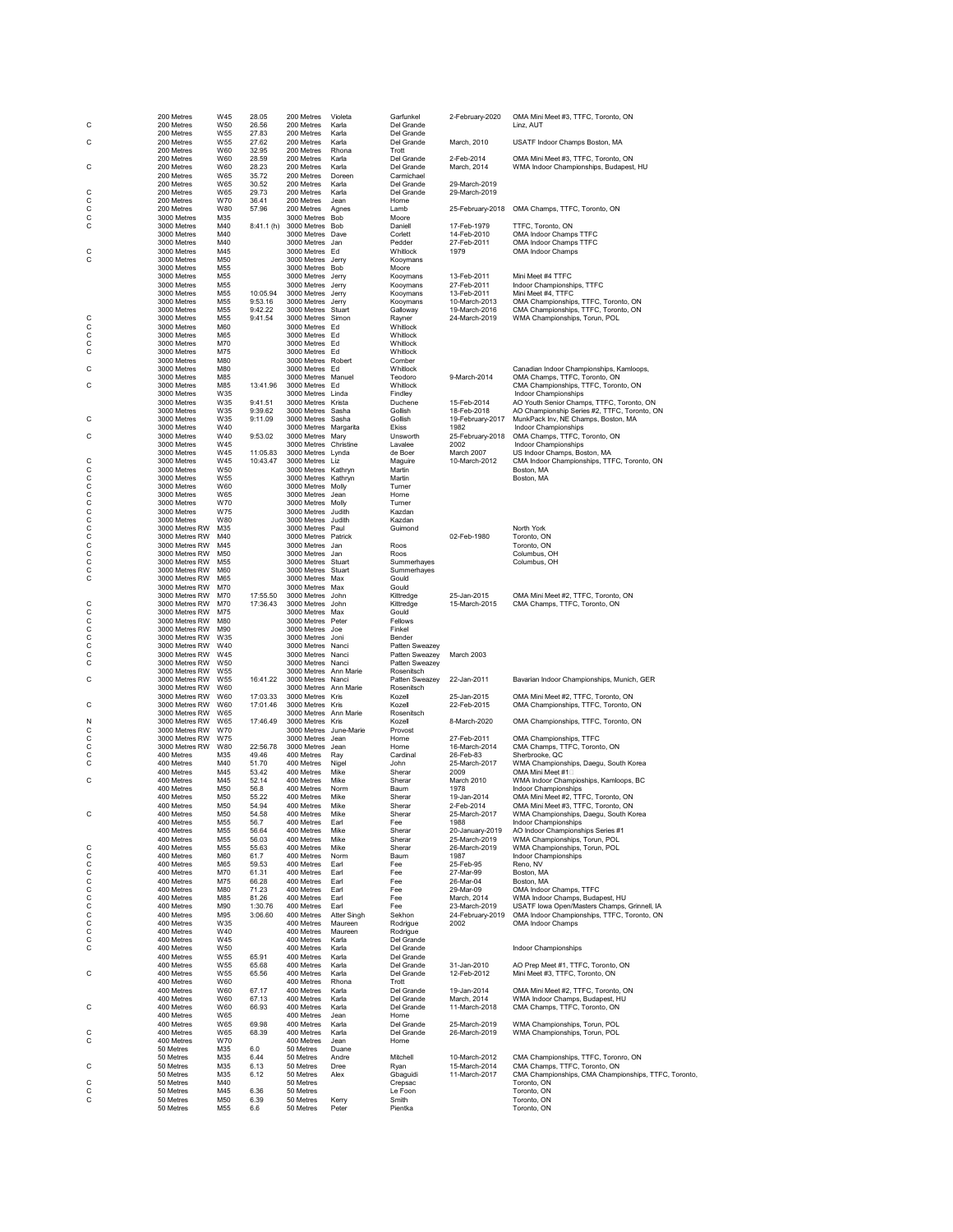| С                       | 200 Metres                       | W45                    | 28.05                | 200 Metres                                 | Violeta            | Garfunkel                        | 2-February-2020                | OMA Mini Meet #3, TTFC, Toronto, ON                                                  |
|-------------------------|----------------------------------|------------------------|----------------------|--------------------------------------------|--------------------|----------------------------------|--------------------------------|--------------------------------------------------------------------------------------|
|                         | 200 Metres<br>200 Metres         | W50<br>W55             | 26.56<br>27.83       | 200 Metres<br>200 Metres                   | Karla<br>Karla     | Del Grande<br>Del Grande         |                                | Linz, AUT                                                                            |
| C                       | 200 Metres                       | W55                    | 27.62                | 200 Metres                                 | Karla              | Del Grande                       | March, 2010                    | USATF Indoor Champs Boston, MA                                                       |
|                         | 200 Metres<br>200 Metres         | W60<br>W60             | 32.95<br>28.59       | 200 Metres<br>200 Metres                   | Rhona<br>Karla     | Trott<br>Del Grande              | 2-Feb-2014                     | OMA Mini Meet #3, TTFC, Toronto, ON                                                  |
| С                       | 200 Metres                       | W60                    | 28.23                | 200 Metres                                 | Karla              | Del Grande                       | March, 2014                    | WMA Indoor Championships, Budapest, HU                                               |
|                         | 200 Metres<br>200 Metres         | W65<br>W65             | 35.72<br>30.52       | 200 Metres<br>200 Metres                   | Doreen<br>Karla    | Carmichael<br>Del Grande         | 29-March-2019                  |                                                                                      |
| С                       | 200 Metres                       | W65                    | 29.73                | 200 Metres                                 | Karla              | Del Grande                       | 29-March-2019                  |                                                                                      |
| C<br>C                  | 200 Metres                       | W70                    | 36.41                | 200 Metres                                 | Jean               | Horne                            |                                | OMA Champs, TTFC, Toronto, ON                                                        |
| C                       | 200 Metres<br>3000 Metres        | W80<br>M35             | 57.96                | 200 Metres<br>3000 Metres Bob              | Agnes              | Lamb<br>Moore                    | 25-February-2018               |                                                                                      |
| C                       | 3000 Metres                      | M40                    | 8:41.1(h)            | 3000 Metres Bob                            |                    | Daniell                          | 17-Feb-1979                    | TTFC. Toronto, ON                                                                    |
|                         | 3000 Metres<br>3000 Metres       | M40<br>M40             |                      | 3000 Metres Dave<br>3000 Metres Jan        |                    | Corlett<br>Pedder                | 14-Feb-2010<br>27-Feb-2011     | OMA Indoor Champs TTFC<br>OMA Indoor Champs TTFC                                     |
| С                       | 3000 Metres                      | M45                    |                      | 3000 Metres Ed                             |                    | Whitlock                         | 1979                           | OMA Indoor Champs                                                                    |
| С                       | 3000 Metres<br>3000 Metres       | M50<br>M <sub>55</sub> |                      | 3000 Metres Jerry<br>3000 Metres Bob       |                    | Kooymans<br>Moore                |                                |                                                                                      |
|                         | 3000 Metres                      | M55                    |                      | 3000 Metres Jerry                          |                    | Kooymans                         | 13-Feb-2011                    | Mini Meet #4 TTFC                                                                    |
|                         | 3000 Metres<br>3000 Metres       | M55<br>M55             | 10:05.94             | 3000 Metres Jerry<br>3000 Metres Jerry     |                    | Kooymans<br>Kooymans             | 27-Feb-2011<br>13-Feb-2011     | Indoor Championships, TTFC<br>Mini Meet #4, TTFC                                     |
|                         | 3000 Metres                      | M55                    | 9:53.16              | 3000 Metres Jerry                          |                    | Kooymans                         | 10-March-2013                  | OMA Championships, TTFC, Toronto, ON                                                 |
|                         | 3000 Metres                      | M <sub>55</sub>        | 9:42.22              | 3000 Metres Stuart<br>3000 Metres Simon    |                    | Galloway                         | 19-March-2016                  | CMA Championships, TTFC, Toronto, ON                                                 |
| С<br>C                  | 3000 Metres<br>3000 Metres       | M55<br>M60             | 9:41.54              | 3000 Metres Ed                             |                    | Rayner<br>Whitlock               | 24-March-2019                  | WMA Championships, Torun, POL                                                        |
| $\frac{C}{C}$           | 3000 Metres                      | M65                    |                      | 3000 Metres Ed                             |                    | Whitlock                         |                                |                                                                                      |
| C                       | 3000 Metres<br>3000 Metres       | M70<br>M75             |                      | 3000 Metres Ed<br>3000 Metres Ed           |                    | Whitlock<br>Whitlock             |                                |                                                                                      |
|                         | 3000 Metres                      | M80                    |                      | 3000 Metres Robert                         |                    | Comber                           |                                |                                                                                      |
| С                       | 3000 Metres<br>3000 Metres       | M80<br>M85             |                      | 3000 Metres Ed<br>3000 Metres Manuel       |                    | Whitlock<br>Teodoro              | 9-March-2014                   | Canadian Indoor Championships, Kamloops,<br>OMA Champs, TTFC, Toronto, ON            |
| С                       | 3000 Metres                      | M85                    | 13:41.96             | 3000 Metres Ed                             |                    | Whitlock                         |                                | CMA Championships, TTFC, Toronto, ON                                                 |
|                         | 3000 Metres<br>3000 Metres       | W35<br>W35             | 9:41.51              | 3000 Metres Linda<br>3000 Metres Krista    |                    | Findley<br>Duchene               | 15-Feb-2014                    | Indoor Championships<br>AO Youth Senior Champs, TTFC, Toronto, ON                    |
|                         | 3000 Metres                      | W35                    | 9:39.62              | 3000 Metres Sasha                          |                    | Gollish                          | 18-Feb-2018                    | AO Championship Series #2, TTFC, Toronto, ON                                         |
| C                       | 3000 Metres                      | W35                    | 9:11.09              | 3000 Metres Sasha<br>3000 Metres Margarita |                    | Gollish                          | 19-February-2017               | MunkPack Inv, NE Champs, Boston, MA                                                  |
| C                       | 3000 Metres<br>3000 Metres       | W40<br>W40             | 9:53.02              | 3000 Metres Mary                           |                    | Ekiss<br>Unsworth                | 1982<br>25-February-2018       | Indoor Championships<br>OMA Champs, TTFC, Toronto, ON                                |
|                         | 3000 Metres                      | W45                    |                      | 3000 Metres Christine                      |                    | Lavalee                          | 2002                           | Indoor Championships                                                                 |
| С                       | 3000 Metres<br>3000 Metres       | W45<br>W45             | 11:05.83<br>10:43.47 | 3000 Metres Lynda<br>3000 Metres Liz       |                    | de Boer<br>Maguire               | March 2007<br>10-March-2012    | US Indoor Champs, Boston, MA<br>CMA Indoor Championships, TTFC, Toronto, ON          |
| С                       | 3000 Metres                      | W50                    |                      | 3000 Metres Kathryn                        |                    | Martin                           |                                | Boston, MA                                                                           |
| $\mathsf c$             | 3000 Metres<br>3000 Metres       | W55<br>W60             |                      | 3000 Metres Kathryn<br>3000 Metres Molly   |                    | Martin<br>Turner                 |                                | Boston, MA                                                                           |
| $\rm_{c}^{\rm c}$       | 3000 Metres                      | W65                    |                      | 3000 Metres Jean                           |                    | Horne                            |                                |                                                                                      |
|                         | 3000 Metres                      | W70                    |                      | 3000 Metres Molly                          |                    | Turner                           |                                |                                                                                      |
| cccc                    | 3000 Metres<br>3000 Metres       | W75<br><b>W80</b>      |                      | 3000 Metres Judith<br>3000 Metres Judith   |                    | Kazdan<br>Kazdan                 |                                |                                                                                      |
|                         | 3000 Metres RW                   | M35                    |                      | 3000 Metres Paul                           |                    | Guimond                          |                                | North York                                                                           |
|                         | 3000 Metres RW<br>3000 Metres RW | M40<br>M45             |                      | 3000 Metres Patrick<br>3000 Metres Jan     |                    | Roos                             | 02-Feb-1980                    | Toronto, ON<br>Toronto, ON                                                           |
| $\frac{C}{C}$           | 3000 Metres RW                   | M50                    |                      | 3000 Metres Jan                            |                    | Roos                             |                                | Columbus, OH                                                                         |
| C<br>С                  | 3000 Metres RW<br>3000 Metres RW | M <sub>55</sub><br>M60 |                      | 3000 Metres Stuart<br>3000 Metres Stuart   |                    | Summerhayes<br>Summerhayes       |                                | Columbus, OH                                                                         |
| С                       | 3000 Metres RW                   | M65                    |                      | 3000 Metres Max                            |                    | Gould                            |                                |                                                                                      |
|                         | 3000 Metres RW                   | M70                    |                      | 3000 Metres Max                            |                    | Gould                            |                                |                                                                                      |
|                         | 3000 Metres RW<br>3000 Metres RW | M70<br>M70             | 17:55.50<br>17:36.43 | 3000 Metres John<br>3000 Metres John       |                    | Kittredge<br>Kittredge           | 25-Jan-2015<br>15-March-2015   | OMA Mini Meet #2, TTFC, Toronto, ON<br>CMA Champs, TTFC, Toronto, ON                 |
| c<br>c                  | 3000 Metres RW                   | M75                    |                      | 3000 Metres Max                            |                    | Gould                            |                                |                                                                                      |
|                         | 3000 Metres RW<br>3000 Metres RW | M80<br>M90             |                      | 3000 Metres Peter<br>3000 Metres Joe       |                    | Fellows<br>Finkel                |                                |                                                                                      |
| $\frac{C}{C}$           | 3000 Metres RW                   | W35                    |                      | 3000 Metres Joni                           |                    | Bender                           |                                |                                                                                      |
| C<br>С                  | 3000 Metres RW<br>3000 Metres RW | W40<br>W45             |                      | 3000 Metres Nanci<br>3000 Metres Nanci     |                    | Patten Sweazey<br>Patten Sweazey | March 2003                     |                                                                                      |
| С                       | 3000 Metres RW                   | W <sub>50</sub>        |                      | 3000 Metres Nanci                          |                    | Patten Sweazey                   |                                |                                                                                      |
|                         | 3000 Metres RW                   | W <sub>55</sub>        |                      | 3000 Metres Ann Marie                      |                    | Rosenitsch                       |                                |                                                                                      |
| С                       | 3000 Metres RW<br>3000 Metres RW | W55<br>W60             | 16:41.22             | 3000 Metres Nanci<br>3000 Metres Ann Marie |                    | Patten Sweazey<br>Rosenitsch     | 22-Jan-2011                    | Bavarian Indoor Championships, Munich, GER                                           |
|                         | 3000 Metres RW                   | W60                    | 17:03.33             | 3000 Metres Kris                           |                    | Kozell                           | 25-Jan-2015                    | OMA Mini Meet #2, TTFC, Toronto, ON                                                  |
| С                       | 3000 Metres RW<br>3000 Metres RW | W60<br>W65             | 17:01.46             | 3000 Metres Kris<br>3000 Metres Ann Marie  |                    | Kozell<br>Rosenitsch             | 22-Feb-2015                    | OMA Championships, TTFC, Toronto, ON                                                 |
| Ν                       | 3000 Metres RW                   | W65                    | 17:46.49             | 3000 Metres Kris                           |                    | Kozell                           | 8-March-2020                   | OMA Championships, TTFC, Toronto, ON                                                 |
| $\hat{\mathbf{c}}$<br>С | 3000 Metres RW<br>3000 Metres RW | W70<br>W75             |                      | 3000 Metres June-Marie<br>3000 Metres Jean |                    | Provost<br>Horne                 | 27-Feb-2011                    | OMA Championships, TTFC                                                              |
| C                       | 3000 Metres RW                   | W80                    | 22:56.78             | 3000 Metres                                | Jean               | Horne                            | 16-March-2014                  | CMA Champs, TTFC, Toronto, ON                                                        |
| C<br>С                  | 400 Metres<br>400 Metres         | M35<br>M40             | 49.46<br>51.70       | 400 Metres<br>400 Metres                   | Ray<br>Nigel       | Cardinal<br>John                 | 26-Feb-83<br>25-March-2017     | Sherbrooke, QC<br>WMA Championships, Daegu, South Korea                              |
|                         | 400 Metres                       | M45                    | 53.42                | 400 Metres                                 | Mike               | Sherar                           | 2009                           | OMA Mini Meet #1□                                                                    |
| С                       | 400 Metres                       | M45                    | 52.14                | 400 Metres                                 | Mike               | Sherar                           | March 2010                     | WMA Indoor Champioships, Kamloops, BC                                                |
|                         | 400 Metres<br>400 Metres         | M50<br>M50             | 56.8<br>55.22        | 400 Metres<br>400 Metres                   | Norm<br>Mike       | Baum<br>Sherar                   | 1978<br>19-Jan-2014            | Indoor Championships<br>OMA Mini Meet #2, TTFC, Toronto, ON                          |
|                         | 400 Metres                       | M50                    | 54.94                | 400 Metres                                 | Mike               | Sherar                           | 2-Feb-2014                     | OMA Mini Meet #3, TTFC, Toronto, ON                                                  |
| С                       | 400 Metres<br>400 Metres         | M50<br>M55             | 54.58<br>56.7        | 400 Metres<br>400 Metres                   | Mike<br>Earl       | Sherar<br>Fee                    | 25-March-2017<br>1988          | WMA Championships, Daegu, South Korea<br>Indoor Championships                        |
|                         | 400 Metres                       | M55                    | 56.64                | 400 Metres                                 | Mike               | Sherar                           | 20-January-2019                | AO Indoor Championships Series #1                                                    |
| С                       | 400 Metres<br>400 Metres         | M <sub>55</sub><br>M55 | 56.03<br>55.63       | 400 Metres<br>400 Metres                   | Mike<br>Mike       | Sherar<br>Sherar                 | 25-March-2019<br>26-March-2019 | WMA Championships, Torun, POL<br>WMA Championships, Torun, POL                       |
| С                       | 400 Metres                       | M60                    | 61.7                 | 400 Metres                                 | Norm               | Baum                             | 1987                           | Indoor Championships                                                                 |
| С<br>C                  | 400 Metres<br>400 Metres         | M65<br>M70             | 59.53<br>61.31       | 400 Metres<br>400 Metres                   | Earl<br>Earl       | Fee<br>Fee                       | 25-Feb-95<br>27-Mar-99         | Reno, NV<br>Boston, MA                                                               |
|                         | 400 Metres                       | M75                    | 66.28                | 400 Metres                                 | Earl               | Fee                              | 26-Mar-04                      | Boston, MA                                                                           |
| $\frac{C}{C}$           | 400 Metres                       | M80                    | 71.23                | 400 Metres                                 | Earl               | Fee                              | 29-Mar-09                      | OMA Indoor Champs, TTFC                                                              |
| $\frac{c}{c}$           | 400 Metres<br>400 Metres         | M85<br>M90             | 81.26<br>1:30.76     | 400 Metres<br>400 Metres                   | Earl<br>Earl       | Fee<br>Fee                       | March, 2014<br>23-March-2019   | WMA Indoor Champs, Budapest, HU<br>USATF lowa Open/Masters Champs, Grinnell, IA      |
| C                       | 400 Metres                       | M95                    | 3:06.60              | 400 Metres                                 | Atter Singh        | Sekhon                           | 24-February-2019               | OMA Indoor Championships, TTFC, Toronto, ON                                          |
| $\frac{C}{C}$           | 400 Metres<br>400 Metres         | W35<br>W40             |                      | 400 Metres<br>400 Metres                   | Maureen<br>Maureen | Rodrigue<br>Rodrigue             | 2002                           | OMA Indoor Champs                                                                    |
|                         | 400 Metres                       | W45                    |                      | 400 Metres                                 | Karla              | Del Grande                       |                                |                                                                                      |
| C                       | 400 Metres<br>400 Metres         | W50<br>W55             | 65.91                | 400 Metres<br>400 Metres                   | Karla<br>Karla     | Del Grande<br>Del Grande         |                                | Indoor Championships                                                                 |
| С                       |                                  | W55                    | 65.68                | 400 Metres                                 | Karla              | Del Grande                       | 31-Jan-2010                    | AO Prep Meet #1, TTFC, Toronto, ON                                                   |
|                         | 400 Metres                       |                        | 65.56                | 400 Metres<br>400 Metres                   | Karla              | Del Grande                       | 12-Feb-2012                    | Mini Meet #3, TTFC, Toronto, ON                                                      |
| С                       | 400 Metres                       | W55                    |                      |                                            | Rhona              | Trott<br>Del Grande              | 19-Jan-2014                    |                                                                                      |
|                         | 400 Metres<br>400 Metres         | W60<br>W60             | 67.17                | 400 Metres                                 | Karla              |                                  |                                | OMA Mini Meet #2, TTFC, Toronto, ON                                                  |
|                         | 400 Metres                       | W60                    | 67.13                | 400 Metres                                 | Karla              | Del Grande                       | March, 2014                    | WMA Indoor Champs, Budapest, HU                                                      |
| C                       | 400 Metres                       | W60                    | 66.93                | 400 Metres                                 | Karla              | Del Grande                       | 11-March-2018                  | CMA Champs, TTFC, Toronto, ON                                                        |
|                         | 400 Metres<br>400 Metres         | W65<br>W65             | 69.98                | 400 Metres<br>400 Metres                   | Jean<br>Karla      | Horne<br>Del Grande              | 25-March-2019                  | WMA Championships, Torun, POL                                                        |
| C                       | 400 Metres                       | W65                    | 68.39                | 400 Metres                                 | Karla              | Del Grande                       | 26-March-2019                  | WMA Championships, Torun, POL                                                        |
| С                       | 400 Metres<br>50 Metres          | W70<br>M35             | 6.0                  | 400 Metres<br>50 Metres                    | Jean<br>Duane      | Horne                            |                                |                                                                                      |
|                         | 50 Metres                        | M35                    | 6.44                 | 50 Metres                                  | Andre              | Mitchell                         | 10-March-2012                  | CMA Championships, TTFC, Toronro, ON                                                 |
| С                       | 50 Metres<br>50 Metres           | M35<br>M35             | 6.13<br>6.12         | 50 Metres<br>50 Metres                     | Dree<br>Alex       | Ryan<br>Gbaguidi                 | 15-March-2014<br>11-March-2017 | CMA Champs, TTFC, Toronto, ON<br>CMA Championships, CMA Championships, TTFC, Toronto |
| С                       | 50 Metres                        | M40                    |                      | 50 Metres                                  |                    | Crepsac                          |                                | Toronto, ON                                                                          |
| С<br>С                  | 50 Metres<br>50 Metres           | M45<br>M50             | 6.36<br>6.39         | 50 Metres<br>50 Metres                     | Kerry              | Le Foon<br>Smith                 |                                | Toronto, ON<br>Toronto, ON                                                           |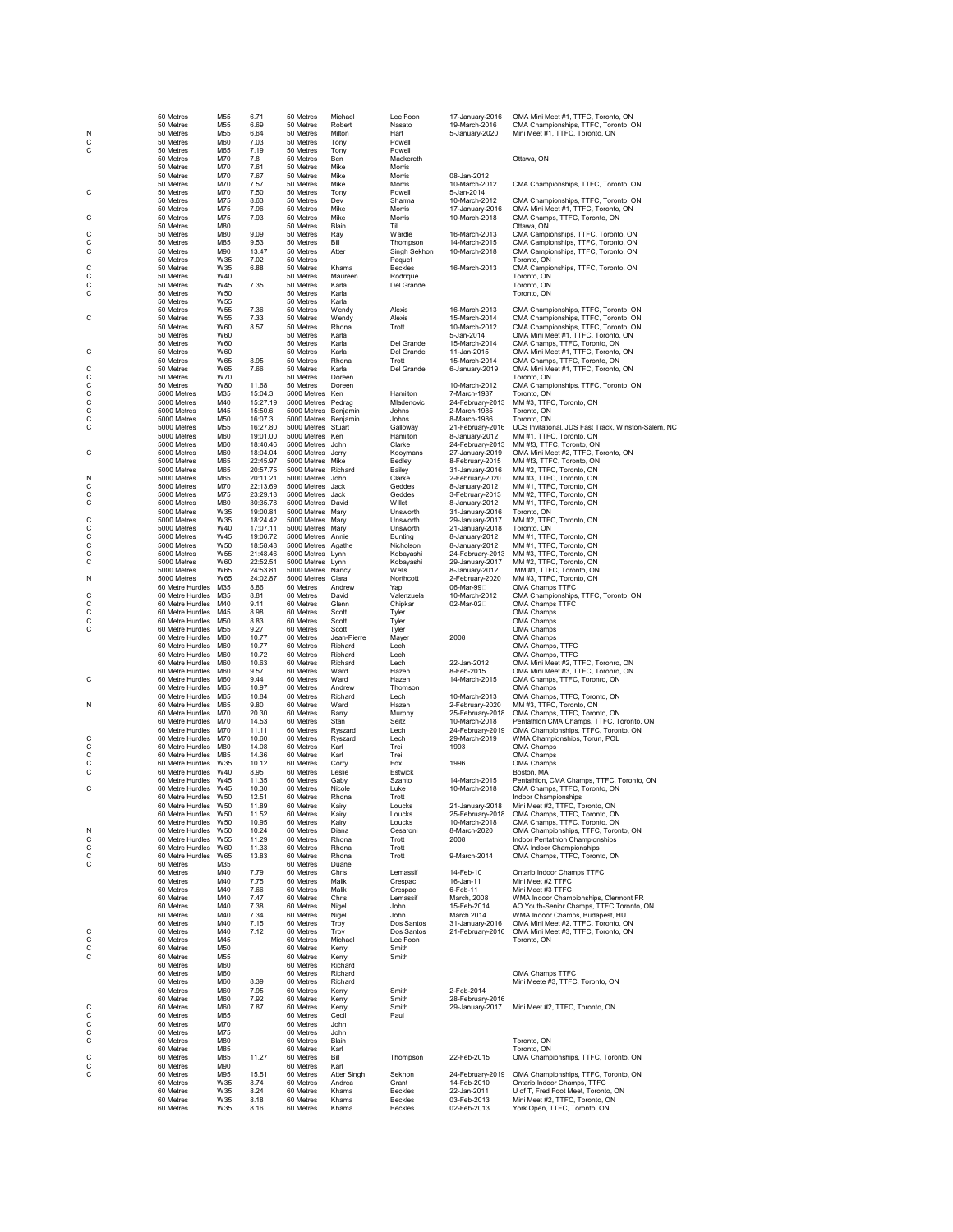|             | 50 Metres                            | M55             | 6.71                 | 50 Metres                       | Michael         | Lee Foon            | 17-January-2016                        | OMA Mini Meet #1, TTFC, Toronto, ON                                         |
|-------------|--------------------------------------|-----------------|----------------------|---------------------------------|-----------------|---------------------|----------------------------------------|-----------------------------------------------------------------------------|
|             | 50 Metres                            | M55             | 6.69                 | 50 Metres                       | Robert          | Nasato              | 19-March-2016                          | CMA Championships, TTFC, Toronto, ON                                        |
| Ν           | 50 Metres                            | M55             | 6.64                 | 50 Metres                       | Milton          | Hart                | 5-January-2020                         | Mini Meet #1, TTFC, Toronto, ON                                             |
| C           | 50 Metres                            | M60             | 7.03                 | 50 Metres                       | Tony            | Powell              |                                        |                                                                             |
| С           | 50 Metres                            | M65             | 7.19                 | 50 Metres                       | Tony            | Powell              |                                        |                                                                             |
|             | 50 Metres                            | M70             | 7.8                  | 50 Metres                       | Ben             | Mackereth           |                                        | Ottawa, ON                                                                  |
|             | 50 Metres                            | M70             | 7.61                 | 50 Metres                       | Mike            | Morris              |                                        |                                                                             |
|             | 50 Metres                            | M70             | 7.67                 | 50 Metres                       | Mike            | Morris              | 08-Jan-2012                            |                                                                             |
|             | 50 Metres<br>50 Metres               | M70             | 7.57                 | 50 Metres                       | Mike            | Morris              | 10-March-2012<br>5-Jan-2014            | CMA Championships, TTFC, Toronto, ON                                        |
| С           |                                      | M70             | 7.50                 | 50 Metres<br>50 Metres          | Tony            | Powell              | 10-March-2012                          | CMA Championships, TTFC, Toronto, ON                                        |
|             | 50 Metres<br>50 Metres               | M75<br>M75      | 8.63<br>7.96         | 50 Metres                       | Dev<br>Mike     | Sharma<br>Morris    | 17-January-2016                        | OMA Mini Meet #1, TTFC, Toronto, ON                                         |
| С           | 50 Metres                            | M75             | 7.93                 | 50 Metres                       | Mike            | Morris              | 10-March-2018                          | CMA Champs, TTFC, Toronto, ON                                               |
|             | 50 Metres                            | M80             |                      | 50 Metres                       | <b>Blain</b>    | Till                |                                        | Ottawa, ON                                                                  |
| C           | 50 Metres                            | M80             | 9.09                 | 50 Metres                       | Ray             | Wardle              | 16-March-2013                          | CMA Campionships, TTFC, Toronto, ON                                         |
| С           | 50 Metres                            | M85             | 9.53                 | 50 Metres                       | Вil             | Thompson            | 14-March-2015                          | CMA Campionships, TTFC, Toronto, ON                                         |
| C           | 50 Metres                            | M90             | 13.47                | 50 Metres                       | Atter           | Singh Sekhon        | 10-March-2018                          | CMA Campionships, TTFC, Toronto, ON                                         |
|             | 50 Metres                            | W35             | 7.02                 | 50 Metres                       |                 | Paquet              |                                        | Toronto, ON                                                                 |
| C           | 50 Metres                            | W35             | 6.88                 | 50 Metres                       | Khama           | <b>Beckles</b>      | 16-March-2013                          | CMA Campionships, TTFC, Toronto, ON                                         |
| C<br>C      | 50 Metres                            | W40             |                      | 50 Metres                       | Maureen         | Rodrigue            |                                        | Toronto, ON                                                                 |
|             | 50 Metres                            | W45             | 7.35                 | 50 Metres                       | Karla           | Del Grande          |                                        | Toronto, ON                                                                 |
| C           | 50 Metres                            | W50             |                      | 50 Metres                       | Karla           |                     |                                        | Toronto, ON                                                                 |
|             | 50 Metres                            | W55             |                      | 50 Metres                       | Karla           |                     |                                        |                                                                             |
|             | 50 Metres<br>50 Metres               | W55             | 7.36                 | 50 Metres                       | Wendy           | Alexis              | 16-March-2013                          | CMA Championships, TTFC, Toronto, ON                                        |
| С           | 50 Metres                            | W55<br>W60      | 7.33<br>8.57         | 50 Metres<br>50 Metres          | Wendy<br>Rhona  | Alexis<br>Trott     | 15-March-2014<br>10-March-2012         | CMA Championships, TTFC, Toronto, ON                                        |
|             | 50 Metres                            | W60             |                      | 50 Metres                       | Karla           |                     | 5-Jan-2014                             | CMA Championships, TTFC, Toronto, ON<br>OMA Mini Meet #1, TTFC, Toronto, ON |
|             | 50 Metres                            | W60             |                      | 50 Metres                       | Karla           | Del Grande          | 15-March-2014                          | CMA Champs, TTFC, Toronto, ON                                               |
| C           | 50 Metres                            | W60             |                      | 50 Metres                       | Karla           | Del Grande          | 11-Jan-2015                            | OMA Mini Meet #1, TTFC, Toronto, ON                                         |
|             | 50 Metres                            | W65             | 8.95                 | 50 Metres                       | Rhona           | Trott               | 15-March-2014                          | CMA Champs, TTFC, Toronto, ON                                               |
| С           | 50 Metres                            | W65             | 7.66                 | 50 Metres                       | Karla           | Del Grande          | 6-January-2019                         | OMA Mini Meet #1, TTFC, Toronto, ON                                         |
|             | 50 Metres                            | W70             |                      | 50 Metres                       | Doreen          |                     |                                        | Toronto, ON                                                                 |
| c<br>C<br>C | 50 Metres                            | W80             | 11.68                | 50 Metres                       | Doreen          |                     | 10-March-2012                          | CMA Championships, TTFC, Toronto, ON                                        |
|             | 5000 Metres                          | M35             | 15:04.3              | 5000 Metres                     | Ken             | Hamilton            | 7-March-1987                           | Toronto, ON                                                                 |
| C           | 5000 Metres                          | M40             | 15:27.19             | 5000 Metres Pedrag              |                 | Mladenovic          | 24-February-2013                       | MM #3, TTFC, Toronto, ON                                                    |
| C           | 5000 Metres                          | M45             | 15:50.6              | 5000 Metres Benjamin            |                 | Johns               | 2-March-1985                           | Toronto, ON                                                                 |
| C           | 5000 Metres                          | M50             | 16:07.3              | 5000 Metres Benjamin            |                 | Johns               | 8-March-1986                           | Toronto, ON                                                                 |
| С           | 5000 Metres                          | M55             | 16:27.80             | 5000 Metres Stuart              |                 | Galloway            | 21-February-2016                       | UCS Invitational, JDS Fast Track, Winston-Salem, NC                         |
|             | 5000 Metres                          | M60             | 19:01.00             | 5000 Metres Ken                 |                 | Hamilton            | 8-January-2012                         | MM #1, TTFC, Toronto, ON                                                    |
|             | 5000 Metres                          | M60             | 18:40.46             | 5000 Metres John                |                 | Clarke              | 24-February-2013                       | MM #!3, TTFC, Toronto, ON                                                   |
| С           | 5000 Metres                          | M60             | 18:04.04<br>22:45.97 | 5000 Metres<br>5000 Metres Mike | Jerry           | Kooymans            | 27-January-2019                        | OMA Mini Meet #2, TTFC, Toronto, ON<br>MM #!3, TTFC, Toronto, ON            |
|             | 5000 Metres<br>5000 Metres           | M65<br>M65      | 20:57.75             | 5000 Metres Richard             |                 | Bedley<br>Bailey    | 8-February-2015<br>31-January-2016     | MM #2, TTFC, Toronto, ON                                                    |
| Ν           | 5000 Metres                          | M65             | 20:11.21             | 5000 Metres John                |                 | Clarke              | 2-February-2020                        | MM #3, TTFC, Toronto, ON                                                    |
| C           | 5000 Metres                          | M70             | 22:13.69             | 5000 Metres Jack                |                 | Geddes              | 8-January-2012                         | MM #1, TTFC, Toronto, ON                                                    |
| C           | 5000 Metres                          | M75             | 23:29.18             | 5000 Metres                     | Jack            | Geddes              | 3-February-2013                        | MM #2, TTFC, Toronto, ON                                                    |
| C           | 5000 Metres                          | M80             | 30:35.78             | 5000 Metres David               |                 | Willet              | 8-January-2012                         | MM #1, TTFC, Toronto, ON                                                    |
|             | 5000 Metres                          | W35             | 19:00.81             | 5000 Metres Mary                |                 | Unsworth            | 31-January-2016                        | Toronto, ON                                                                 |
| C           | 5000 Metres                          | W35             | 18:24.42             | 5000 Metres Mary                |                 | Unsworth            | 29-January-2017                        | MM #2, TTFC, Toronto, ON                                                    |
| C<br>C      | 5000 Metres                          | W40             | 17:07.11             | 5000 Metres Mary                |                 | Unsworth            | 21-January-2018                        | Toronto, ON                                                                 |
|             | 5000 Metres                          | W45             | 19:06.72             | 5000 Metres Annie               |                 | Bunting             | 8-January-2012                         | MM #1, TTFC, Toronto, ON                                                    |
| C           | 5000 Metres                          | W50             | 18:58.48             | 5000 Metres Agathe              |                 | Nicholson           | 8-January-2012                         | MM #1, TTFC, Toronto, ON                                                    |
| C           | 5000 Metres                          | W55             | 21:48.46             | 5000 Metres Lynn                |                 | Kobayashi           | 24-February-2013                       | MM #3, TTFC, Toronto, ON                                                    |
| C           | 5000 Metres                          | W60             | 22:52.51             | 5000 Metres Lynn                |                 | Kobayashi           | 29-January-2017                        | MM #2, TTFC, Toronto, ON                                                    |
|             | 5000 Metres                          | W65             | 24:53.81             | 5000 Metres Nancy               |                 | Wells               | 8-January-2012                         | MM #1, TTFC, Toronto, ON                                                    |
| N           | 5000 Metres                          | W65             | 24:02.87             | 5000 Metres Clara               |                 | Northcott           | 2-February-2020                        | MM #3, TTFC, Toronto, ON                                                    |
|             | 60 Metre Hurdles<br>60 Metre Hurdles | M35<br>M35      | 8.86<br>8.81         | 60 Metres<br>60 Metres          | Andrew<br>David | Yap<br>Valenzuela   | 06-Mar-99 <sup></sup><br>10-March-2012 | OMA Champs TTFC<br>CMA Championships, TTFC, Toronto, ON                     |
| c<br>c<br>c | 60 Metre Hurdles                     | M40             | 9.11                 | 60 Metres                       | Glenn           | Chipkar             | 02-Mar-02D                             | OMA Champs TTFC                                                             |
|             | 60 Metre Hurdles                     | M45             | 8.98                 | 60 Metres                       | Scott           | Tyler               |                                        | OMA Champs                                                                  |
|             | 60 Metre Hurdles                     | M50             | 8.83                 | 60 Metres                       | Scott           | Tyler               |                                        | OMA Champs                                                                  |
| С           | 60 Metre Hurdles                     | M <sub>55</sub> | 9.27                 | 60 Metres                       | Scott           | Tyler               |                                        | OMA Champs                                                                  |
|             | 60 Metre Hurdles                     | M60             | 10.77                | 60 Metres                       | Jean-Pierre     | Mayer               | 2008                                   | OMA Champs                                                                  |
|             | 60 Metre Hurdles                     | M60             | 10.77                | 60 Metres                       | Richard         | Lech                |                                        | OMA Champs, TTFC                                                            |
|             | 60 Metre Hurdles                     | M60             | 10.72                | 60 Metres                       | Richard         | Lech                |                                        | OMA Champs, TTFC                                                            |
|             | 60 Metre Hurdles                     | M60             | 10.63                | 60 Metres                       | Richard         | Lech                | 22-Jan-2012                            | OMA Mini Meet #2, TTFC, Toronro, ON                                         |
|             | 60 Metre Hurdles                     | M60             | 9.57                 | 60 Metres                       | Ward            | Hazen               | 8-Feb-2015                             | OMA Mini Meet #3, TTFC, Toronro, ON                                         |
| С           | 60 Metre Hurdles                     | M60             | 9.44                 | 60 Metres                       | Ward            | Hazen               | 14-March-2015                          | CMA Champs, TTFC, Toronro, ON                                               |
|             | 60 Metre Hurdles                     | M65             | 10.97                | 60 Metres                       | Andrew          | Thomson             |                                        | OMA Champs                                                                  |
|             | 60 Metre Hurdles                     | M65             | 10.84                | 60 Metres                       | Richard         | Lech                | 10-March-2013                          | OMA Champs, TTFC, Toronto, ON                                               |
| Ν           | 60 Metre Hurdles                     | M65             | 9.80                 | 60 Metres                       | Ward            | Hazen               | 2-February-2020                        | MM #3, TTFC, Toronto, ON                                                    |
|             | 60 Metre Hurdles                     | M70             | 20.30                | 60 Metres                       | Barry           | Murphy              | 25-February-2018                       | OMA Champs, TTFC, Toronto, ON                                               |
|             | 60 Metre Hurdles                     | M70             | 14.53                | 60 Metres                       | Stan            | Seitz               | 10-March-2018                          | Pentathlon CMA Champs, TTFC, Toronto, ON                                    |
|             | 60 Metre Hurdles                     | M70             | 11.11                | 60 Metres                       | Ryszard         | Lech                | 24-February-2019                       | OMA Championships, TTFC, Toronto, ON                                        |
| C<br>C      | 60 Metre Hurdles<br>60 Metre Hurdles | M70             | 10.60                | 60 Metres                       | Ryszard         | Lech                | 29-March-2019                          | WMA Championships, Torun, POL                                               |
| C           | 60 Metre Hurdles                     | M80<br>M85      | 14.08<br>14.36       | 60 Metres<br>60 Metres          | Karl<br>Karl    | Trei<br>Trei        | 1993                                   | OMA Champs<br>OMA Champs                                                    |
| C           | 60 Metre Hurdles                     | W35             | 10.12                | 60 Metres                       | Corry           | Fox                 | 1996                                   | OMA Champs                                                                  |
| C           | 60 Metre Hurdles                     | W40             | 8.95                 | 60 Metres                       | Leslie          | Estwick             |                                        | Boston, MA                                                                  |
|             | 60 Metre Hurdles                     | W45             | 11.35                | 60 Metres                       | Gaby            | Szanto              | 14-March-2015                          | Pentathlon, CMA Champs, TTFC, Toronto, ON                                   |
| С           | 60 Metre Hurdles W45                 |                 | 10.30                | 60 Metres                       | Nicole          | Luke                | 10-March-2018                          | CMA Champs, TTFC, Toronto, ON                                               |
|             | 60 Metre Hurdles W50                 |                 | 12.51                | 60 Metres                       | Rhona           | Trott               |                                        | Indoor Championships                                                        |
|             | 60 Metre Hurdles W50                 |                 | 11.89                | 60 Metres                       | Kairv           | Loucks              | 21-January-2018                        | Mini Meet #2, TTFC, Toronto, ON                                             |
|             | 60 Metre Hurdles                     | W50             | 11.52                | 60 Metres                       | Kairy           | Loucks              | 25-February-2018                       | OMA Champs, TTFC, Toronto, ON                                               |
|             | 60 Metre Hurdles                     | W50             | 10.95                | 60 Metres                       | Kairy           | Loucks              | 10-March-2018                          | CMA Champs, TTFC, Toronto, ON                                               |
| Ν           | 60 Metre Hurdles                     | W50             | 10.24                | 60 Metres                       | Diana           | Cesaroni            | 8-March-2020                           | OMA Championships, TTFC, Toronto, ON                                        |
| C           | 60 Metre Hurdles                     | W <sub>55</sub> | 11.29                | 60 Metres                       | Rhona           | Trott               | 2008                                   | Indoor Pentathlon Championships                                             |
| C<br>C      | 60 Metre Hurdles                     | <b>W60</b>      | 11.33                | 60 Metres                       | Rhona           | Trott               |                                        | OMA Indoor Championships                                                    |
|             | 60 Metre Hurdles                     | W65             | 13.83                | 60 Metres                       | Rhona           | Trott               | 9-March-2014                           | OMA Champs, TTFC, Toronto, ON                                               |
| C           | 60 Metres                            | M35             |                      | 60 Metres                       | Duane           |                     |                                        |                                                                             |
|             | 60 Metres<br>60 Metres               | M40<br>M40      | 7.79                 | 60 Metres                       | Chris           | Lemassif<br>Crespac | 14-Feb-10                              | Ontario Indoor Champs TTFC<br>Mini Meet #2 TTFC                             |
|             | 60 Metres                            | M40             | 7.75<br>7.66         | 60 Metres<br>60 Metres          | Malik<br>Malik  | Crespac             | 16-Jan-11<br>6-Feb-11                  | Mini Meet #3 TTFC                                                           |
|             | 60 Metres                            | M40             | 7.47                 | 60 Metres                       | Chris           | Lemassif            | March, 2008                            | WMA Indoor Championships, Clermont FR                                       |
|             | 60 Metres                            | M40             | 7.38                 | 60 Metres                       | Nigel           | John                | 15-Feb-2014                            | AO Youth-Senior Champs, TTFC Toronto, ON                                    |
|             | 60 Metres                            | M40             | 7.34                 | 60 Metres                       | Nigel           | John                | March 2014                             | WMA Indoor Champs, Budapest, HU                                             |
|             | 60 Metres                            | M40             | 7.15                 | 60 Metres                       | Troy            | Dos Santos          | 31-January-2016                        | OMA Mini Meet #2, TTFC, Toronto, ON                                         |
|             | 60 Metres                            | M40             | 7.12                 | 60 Metres                       | Troy            | Dos Santos          | 21-February-2016                       | OMA Mini Meet #3, TTFC, Toronto, ON                                         |
| c<br>C<br>C | 60 Metres                            | M45             |                      | 60 Metres                       | Michael         | Lee Foon            |                                        | Toronto, ON                                                                 |
|             | 60 Metres                            | M50             |                      | 60 Metres                       | Kerry           | Smith               |                                        |                                                                             |
| С           | 60 Metres                            | M55             |                      | 60 Metres                       | Kerry           | Smith               |                                        |                                                                             |
|             | 60 Metres                            | M60             |                      | 60 Metres                       | Richard         |                     |                                        |                                                                             |
|             | 60 Metres                            | M60             |                      | 60 Metres                       | Richard         |                     |                                        | OMA Champs TTFC                                                             |
|             | 60 Metres                            | M60             | 8.39                 | 60 Metres                       | Richard         |                     |                                        | Mini Meete #3, TTFC, Toronto, ON                                            |
|             | 60 Metres                            | M60             | 7.95                 | 60 Metres                       | Kerry           | Smith               | 2-Feb-2014                             |                                                                             |
|             | 60 Metres                            | M60             | 7.92                 | 60 Metres                       | Kerry           | Smith               | 28-February-2016                       |                                                                             |
|             | 60 Metres                            | M60             | 7.87                 | 60 Metres                       | Kerry           | Smith               | 29-January-2017                        | Mini Meet #2, TTFC, Toronto, ON                                             |
| c<br>c<br>c | 60 Metres                            | M65             |                      | 60 Metres                       | Cecil           | Paul                |                                        |                                                                             |
|             | 60 Metres                            | M70             |                      | 60 Metres                       | John            |                     |                                        |                                                                             |
|             | 60 Metres                            | M75             |                      | 60 Metres                       | John            |                     |                                        |                                                                             |
| C           | 60 Metres                            | M80             |                      | 60 Metres                       | Blain           |                     |                                        | Toronto, ON<br>Toronto, ON                                                  |
|             | 60 Metres<br>60 Metres               | M85<br>M85      | 11.27                | 60 Metres<br>60 Metres          | Karl<br>Bill    |                     | 22-Feb-2015                            | OMA Championships, TTFC, Toronto, ON                                        |
| C<br>C      | 60 Metres                            | M90             |                      | 60 Metres                       | Karl            | Thompson            |                                        |                                                                             |
| C           | 60 Metres                            | M95             | 15.51                | 60 Metres                       | Atter Singh     | Sekhon              | 24-February-2019                       | OMA Championships, TTFC, Toronto, ON                                        |
|             | 60 Metres                            | W35             | 8.74                 | 60 Metres                       | Andrea          | Grant               | 14-Feb-2010                            | Ontario Indoor Champs, TTFC                                                 |
|             | 60 Metres                            | W35             | 8.24                 | 60 Metres                       | Khama           | Beckles             | 22-Jan-2011                            | U of T, Fred Foot Meet, Toronto, ON                                         |
|             | 60 Metres                            | W35             | 8.18                 | 60 Metres                       | Khama           | <b>Beckles</b>      | 03-Feb-2013                            | Mini Meet #2, TTFC, Toronto, ON                                             |
|             | 60 Metres                            | W35             | 8.16                 | 60 Metres                       | Khama           | Beckles             | 02-Feb-2013                            | York Open, TTFC, Toronto, ON                                                |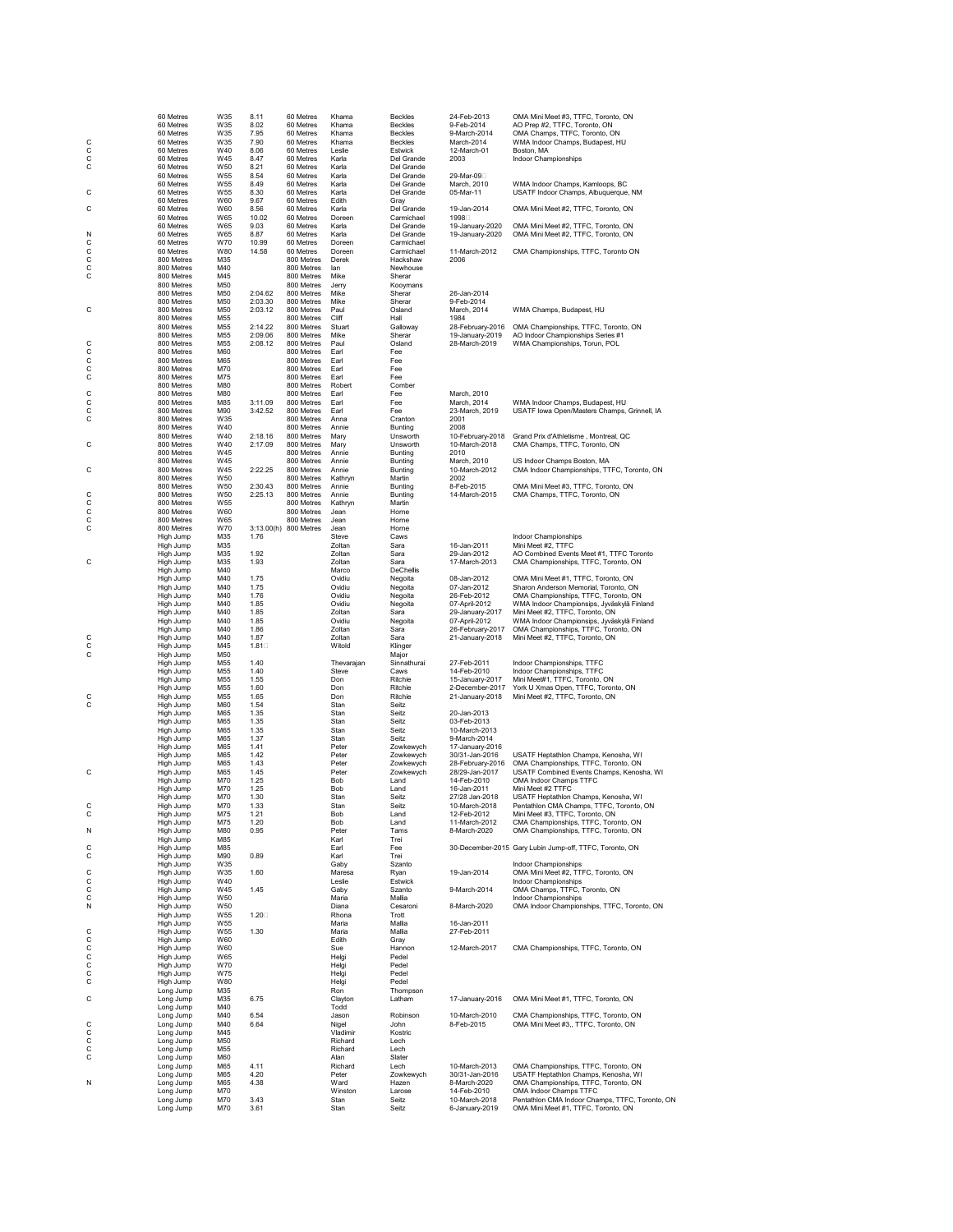|               | 60 Metres                | W35        | 8.11               | 60 Metres                           | Khama               | <b>Beckles</b>            | 24-Feb-2013                         | OMA Mini Meet #3, TTFC, Toronto, ON                                              |
|---------------|--------------------------|------------|--------------------|-------------------------------------|---------------------|---------------------------|-------------------------------------|----------------------------------------------------------------------------------|
|               | 60 Metres<br>60 Metres   | W35<br>W35 | 8.02<br>7.95       | 60 Metres<br>60 Metres              | Khama<br>Khama      | <b>Beckles</b><br>Beckles | 9-Feb-2014<br>9-March-2014          | AO Prep #2, TTFC, Toronto, ON<br>OMA Champs, TTFC, Toronto, ON                   |
| С             | 60 Metres                | W35        | 7.90               | 60 Metres                           | Khama               | <b>Beckles</b>            | March-2014                          | WMA Indoor Champs, Budapest, HU                                                  |
| $\frac{C}{C}$ | 60 Metres                | W40        | 8.06               | 60 Metres                           | Leslie              | Estwick                   | 12-March-01                         | Boston, MA                                                                       |
| C             | 60 Metres<br>60 Metres   | W45<br>W50 | 8.47<br>8.21       | 60 Metres<br>60 Metres              | Karla<br>Karla      | Del Grande<br>Del Grande  | 2003                                | Indoor Championships                                                             |
|               | 60 Metres                | W55        | 8.54               | 60 Metres                           | Karla               | Del Grande                | 29-Mar-09 <sup>[1]</sup>            |                                                                                  |
| С             | 60 Metres<br>60 Metres   | W55<br>W55 | 8.49<br>8.30       | 60 Metres<br>60 Metres              | Karla<br>Karla      | Del Grande<br>Del Grande  | March, 2010<br>05-Mar-11            | WMA Indoor Champs, Kamloops, BC<br>USATF Indoor Champs, Albuquerque, NM          |
|               | 60 Metres                | W60        | 9.67               | 60 Metres                           | Edith               | Gray                      |                                     |                                                                                  |
| C             | 60 Metres<br>60 Metres   | W60<br>W65 | 8.56<br>10.02      | 60 Metres<br>60 Metres              | Karla<br>Doreen     | Del Grande<br>Carmichael  | 19-Jan-2014<br>1998                 | OMA Mini Meet #2, TTFC, Toronto, ON                                              |
|               | 60 Metres                | W65        | 9.03               | 60 Metres                           | Karla               | Del Grande                | 19-January-2020                     | OMA Mini Meet #2, TTFC, Toronto, ON                                              |
| Ν             | 60 Metres                | W65        | 8.87               | 60 Metres                           | Karla               | Del Grande                | 19-January-2020                     | OMA Mini Meet #2, TTFC, Toronto, ON                                              |
| C             | 60 Metres<br>60 Metres   | W70<br>W80 | 10.99<br>14.58     | 60 Metres<br>60 Metres              | Doreen<br>Doreen    | Carmichael<br>Carmichael  | 11-March-2012                       | CMA Championships, TTFC, Toronto ON                                              |
| c<br>c        | 800 Metres               | M35        |                    | 800 Metres                          | Derek               | Hackshaw                  | 2006                                |                                                                                  |
| C             | 800 Metres<br>800 Metres | M40<br>M45 |                    | 800 Metres<br>800 Metres            | lan<br>Mike         | Newhouse<br>Sherar        |                                     |                                                                                  |
|               | 800 Metres               | M50        |                    | 800 Metres                          | Jerry               | Kooymans                  |                                     |                                                                                  |
|               | 800 Metres<br>800 Metres | M50<br>M50 | 2:04.62<br>2:03.30 | 800 Metres<br>800 Metres            | Mike<br>Mike        | Sherar<br>Sherar          | 26-Jan-2014<br>9-Feb-2014           |                                                                                  |
| С             | 800 Metres               | M50        | 2:03.12            | 800 Metres                          | Paul                | Osland                    | March, 2014                         | WMA Champs, Budapest, HU                                                         |
|               | 800 Metres               | M55        |                    | 800 Metres                          | Cliff               | Hall<br>Galloway          | 1984                                |                                                                                  |
|               | 800 Metres<br>800 Metres | M55<br>M55 | 2:14.22<br>2:09.06 | 800 Metres<br>800 Metres            | Stuart<br>Mike      | Sherar                    | 28-February-2016<br>19-January-2019 | OMA Championships, TTFC, Toronto, ON<br>AO Indoor Championships Series #1        |
| С             | 800 Metres               | M55        | 2:08.12            | 800 Metres                          | Paul                | Osland                    | 28-March-2019                       | WMA Championships, Torun, POL                                                    |
| C             | 800 Metres<br>800 Metres | M60<br>M65 |                    | 800 Metres<br>800 Metres            | Earl<br>Earl        | Fee<br>Fee                |                                     |                                                                                  |
| $\frac{C}{C}$ | 800 Metres               | M70        |                    | 800 Metres                          | Earl                | Fee                       |                                     |                                                                                  |
| C             | 800 Metres<br>800 Metres | M75<br>M80 |                    | 800 Metres<br>800 Metres            | Earl<br>Robert      | Fee<br>Comber             |                                     |                                                                                  |
| C             | 800 Metres               | M80        |                    | 800 Metres                          | Earl                | Fee                       | March, 2010                         |                                                                                  |
| $\frac{C}{C}$ | 800 Metres               | M85        | 3:11.09            | 800 Metres                          | Earl                | Fee                       | March, 2014                         | WMA Indoor Champs, Budapest, HU                                                  |
| С             | 800 Metres<br>800 Metres | M90<br>W35 | 3:42.52            | 800 Metres<br>800 Metres            | Earl<br>Anna        | Fee<br>Cranton            | 23-March, 2019<br>2001              | USATF lowa Open/Masters Champs, Grinnell, IA                                     |
|               | 800 Metres               | W40        |                    | 800 Metres                          | Annie               | Bunting                   | 2008                                |                                                                                  |
| C             | 800 Metres<br>800 Metres | W40<br>W40 | 2:18.16<br>2:17.09 | 800 Metres<br>800 Metres            | Mary<br>Mary        | Unsworth<br>Unsworth      | 10-February-2018<br>10-March-2018   | Grand Prix d'Athletisme, Montreal, QC<br>CMA Champs, TTFC, Toronto, ON           |
|               | 800 Metres               | W45        |                    | 800 Metres                          | Annie               | Bunting                   | 2010                                |                                                                                  |
|               | 800 Metres               | W45<br>W45 |                    | 800 Metres                          | Annie               | Bunting                   | March, 2010                         | US Indoor Champs Boston, MA                                                      |
| С             | 800 Metres<br>800 Metres | W50        | 2:22.25            | 800 Metres<br>800 Metres            | Annie<br>Kathryn    | Bunting<br>Martin         | 10-March-2012<br>2002               | CMA Indoor Championships, TTFC, Toronto, ON                                      |
|               | 800 Metres               | W50        | 2:30.43            | 800 Metres                          | Annie               | <b>Bunting</b>            | 8-Feb-2015                          | OMA Mini Meet #3, TTFC, Toronto, ON                                              |
| С<br>C        | 800 Metres<br>800 Metres | W50<br>W55 | 2:25.13            | 800 Metres<br>800 Metres            | Annie<br>Kathryn    | Bunting<br>Martin         | 14-March-2015                       | CMA Champs, TTFC, Toronto, ON                                                    |
| C<br>C        | 800 Metres               | W60        |                    | 800 Metres                          | Jean                | Horne                     |                                     |                                                                                  |
| C             | 800 Metres<br>800 Metres | W65<br>W70 |                    | 800 Metres<br>3:13.00(h) 800 Metres | Jean<br>Jean        | Horne<br>Horne            |                                     |                                                                                  |
|               | High Jump                | M35        | 1.76               |                                     | Steve               | Caws                      |                                     | Indoor Championships                                                             |
|               | High Jump                | M35        |                    |                                     | Zoltan              | Sara                      | 16-Jan-2011                         | Mini Meet #2, TTFC                                                               |
| С             | High Jump<br>High Jump   | M35<br>M35 | 1.92<br>1.93       |                                     | Zoltan<br>Zoltan    | Sara<br>Sara              | 29-Jan-2012<br>17-March-2013        | AO Combined Events Meet #1, TTFC Toronto<br>CMA Championships, TTFC, Toronto, ON |
|               | High Jump                | M40        |                    |                                     | Marco               | <b>DeChellis</b>          |                                     |                                                                                  |
|               | High Jump                | M40        | 1.75               |                                     | Ovidiu              | Negoita                   | 08-Jan-2012<br>07-Jan-2012          | OMA Mini Meet #1, TTFC, Toronto, ON                                              |
|               | High Jump<br>High Jump   | M40<br>M40 | 1.75<br>1.76       |                                     | Ovidiu<br>Ovidiu    | Negoita<br>Negoita        | 26-Feb-2012                         | Sharon Anderson Memorial, Toronto, ON<br>OMA Championships, TTFC, Toronto, ON    |
|               | High Jump                | M40        | 1.85               |                                     | Ovidiu              | Negoita                   | 07-April-2012                       | WMA Indoor Championsips, Jyväskylä Finland                                       |
|               | High Jump<br>High Jump   | M40<br>M40 | 1.85<br>1.85       |                                     | Zoltan<br>Ovidiu    | Sara<br>Negoita           | 29-January-2017<br>07-April-2012    | Mini Meet #2, TTFC, Toronto, ON<br>WMA Indoor Championsips, Jyväskylä Finland    |
|               | High Jump                | M40        | 1.86               |                                     | Zoltan              | Sara                      | 26-February-2017                    | OMA Championships, TTFC, Toronto, ON                                             |
| С             | High Jump                | M40        | 1.87               |                                     | Zoltan              | Sara                      | 21-January-2018                     | Mini Meet #2, TTFC, Toronto, ON                                                  |
| С<br>С        | High Jump<br>High Jump   | M45<br>M50 | $1.81\square$      |                                     | Witold              | Klinger<br>Maior          |                                     |                                                                                  |
|               | High Jump                | M55        | 1.40               |                                     | Thevarajan          | Sinnathurai               | 27-Feb-2011                         | Indoor Championships, TTFC                                                       |
|               | High Jump<br>High Jump   | M55<br>M55 | 1.40<br>1.55       |                                     | <b>Steve</b><br>Don | Caws<br>Ritchie           | 14-Feb-2010<br>15-January-2017      | Indoor Championships, TTFC<br>Mini Meet#1, TTFC, Toronto, ON                     |
|               | High Jump                | M55        | 1.60               |                                     | Don                 | Ritchie                   | 2-December-2017                     | York U Xmas Open, TTFC, Toronto, ON                                              |
| С<br>С        | High Jump                | M55<br>M60 | 1.65<br>1.54       |                                     | Don<br>Stan         | Ritchie<br>Seitz          | 21-January-2018                     | Mini Meet #2, TTFC, Toronto, ON                                                  |
|               | High Jump<br>High Jump   | M65        | 1.35               |                                     | Stan                | Seitz                     | 20-Jan-2013                         |                                                                                  |
|               | High Jump                | M65        | 1.35               |                                     | Stan                | Seitz                     | 03-Feb-2013                         |                                                                                  |
|               | High Jump<br>High Jump   | M65<br>M65 | 1.35<br>1.37       |                                     | Stan<br>Stan        | Seitz<br>Seitz            | 10-March-2013<br>9-March-2014       |                                                                                  |
|               | High Jump                | M65        | 1.41               |                                     | Peter               | Zowkewych                 | 17-January-2016                     |                                                                                  |
|               | High Jump<br>High Jump   | M65<br>M65 | 1.42<br>1.43       |                                     | Peter<br>Peter      | Zowkewych<br>Zowkewych    | 30/31-Jan-2016<br>28-February-2016  | USATF Heptathlon Champs, Kenosha, WI<br>OMA Championships, TTFC, Toronto, ON     |
| С             | High Jump                | M65        | 1.45               |                                     | Peter               | Zowkewych                 | 28/29-Jan-2017                      | USATF Combined Events Champs, Kenosha, WI                                        |
|               | High Jump                | M70        | 1.25               |                                     | Bob                 | Land                      | 14-Feb-2010                         | OMA Indoor Champs TTFC                                                           |
|               | High Jump<br>High Jump   | M70<br>M70 | 1.25<br>1.30       |                                     | Bob<br>Stan         | Land<br>Seitz             | 16-Jan-2011<br>27/28 Jan-2018       | Mini Meet #2 TTFC<br>USATF Heptathlon Champs, Kenosha, WI                        |
| C             | High Jump                | M70        | 1.33               |                                     | Stan                | Seitz                     | 10-March-2018                       | Pentathlon CMA Champs, TTFC, Toronto, ON                                         |
| С             | High Jump                | M75<br>M75 | 1.21<br>1.20       |                                     | Bob<br>Bob          | Land<br>Land              | 12-Feb-2012<br>11-March-2012        | Mini Meet #3, TTFC, Toronto, ON<br>CMA Championships, TTFC, Toronto, ON          |
| N             | High Jump<br>High Jump   | M80        | 0.95               |                                     | Peter               | Tams                      | 8-March-2020                        | OMA Championships, TTFC, Toronto, ON                                             |
|               | High Jump                | M85        |                    |                                     | Karl                | Trei                      |                                     |                                                                                  |
| C<br>С        | High Jump<br>High Jump   | M85<br>M90 | 0.89               |                                     | Earl<br>Karl        | Fee<br>Trei               |                                     | 30-December-2015 Gary Lubin Jump-off, TTFC, Toronto, ON                          |
|               | High Jump                | W35        |                    |                                     | Gaby                | Szanto                    |                                     | Indoor Championships                                                             |
| С             | High Jump                | W35<br>W40 | 1.60               |                                     | Maresa<br>Leslie    | Ryan                      | 19-Jan-2014                         | OMA Mini Meet #2, TTFC, Toronto, ON                                              |
| С<br>С        | High Jump<br>High Jump   | W45        | 1.45               |                                     | Gaby                | Estwick<br>Szanto         | 9-March-2014                        | Indoor Championships<br>OMA Champs, TTFC, Toronto, ON                            |
| С             | High Jump                | W50        |                    |                                     | Maria               | Mallia                    |                                     | Indoor Championships                                                             |
| Ν             | High Jump<br>High Jump   | W50<br>W55 | $1.20\square$      |                                     | Diana<br>Rhona      | Cesaroni<br>Trott         | 8-March-2020                        | OMA Indoor Championships, TTFC, Toronto, ON                                      |
|               | High Jump                | W55        |                    |                                     | Maria               | Mallia                    | 16-Jan-2011                         |                                                                                  |
| С             | High Jump<br>High Jump   | W55        | 1.30               |                                     | Maria               | Mallia                    | 27-Feb-2011                         |                                                                                  |
| С<br>C        | High Jump                | W60<br>W60 |                    |                                     | Edith<br>Sue        | Gray<br>Hannon            | 12-March-2017                       | CMA Championships, TTFC, Toronto, ON                                             |
| C             | High Jump                | W65        |                    |                                     | Helgi               | Pedel                     |                                     |                                                                                  |
| C<br>С        | High Jump<br>High Jump   | W70<br>W75 |                    |                                     | Helgi<br>Helgi      | Pedel<br>Pedel            |                                     |                                                                                  |
| С             | High Jump                | W80        |                    |                                     | Helgi               | Pedel                     |                                     |                                                                                  |
| С             | Long Jump                | M35<br>M35 |                    |                                     | Ron                 | Thompson<br>Latham        | 17-January-2016                     | OMA Mini Meet #1, TTFC, Toronto, ON                                              |
|               | Long Jump<br>Long Jump   | M40        | 6.75               |                                     | Clayton<br>Todd     |                           |                                     |                                                                                  |
|               | Long Jump                | M40        | 6.54               |                                     | Jason               | Robinson                  | 10-March-2010                       | CMA Championships, TTFC, Toronto, ON                                             |
| С<br>С        | Long Jump<br>Long Jump   | M40<br>M45 | 6.64               |                                     | Nigel<br>Vladimir   | John<br>Kostric           | 8-Feb-2015                          | OMA Mini Meet #3,, TTFC, Toronto, ON                                             |
| С             | Long Jump                | M50        |                    |                                     | Richard             | Lech                      |                                     |                                                                                  |
| C<br>C        | Long Jump<br>Long Jump   | M55<br>M60 |                    |                                     | Richard<br>Alan     | Lech<br>Slater            |                                     |                                                                                  |
|               | Long Jump                | M65        | 4.11               |                                     | Richard             | Lech                      | 10-March-2013                       | OMA Championships, TTFC, Toronto, ON                                             |
|               | Long Jump                | M65        | 4.20               |                                     | Peter               | Zowkewych                 | 30/31-Jan-2016                      | USATF Heptathlon Champs, Kenosha, WI                                             |
| Ν             | Long Jump<br>Long Jump   | M65<br>M70 | 4.38               |                                     | Ward<br>Winston     | Hazen<br>Larose           | 8-March-2020<br>14-Feb-2010         | OMA Championships, TTFC, Toronto, ON<br>OMA Indoor Champs TTFC                   |
|               | Long Jump                | M70        | 3.43               |                                     | Stan                | Seitz                     | 10-March-2018                       | Pentathlon CMA Indoor Champs, TTFC, Toronto, ON                                  |
|               | Long Jump                | M70        | 3.61               |                                     | Stan                | Seitz                     | 6-January-2019                      | OMA Mini Meet #1, TTFC, Toronto, ON                                              |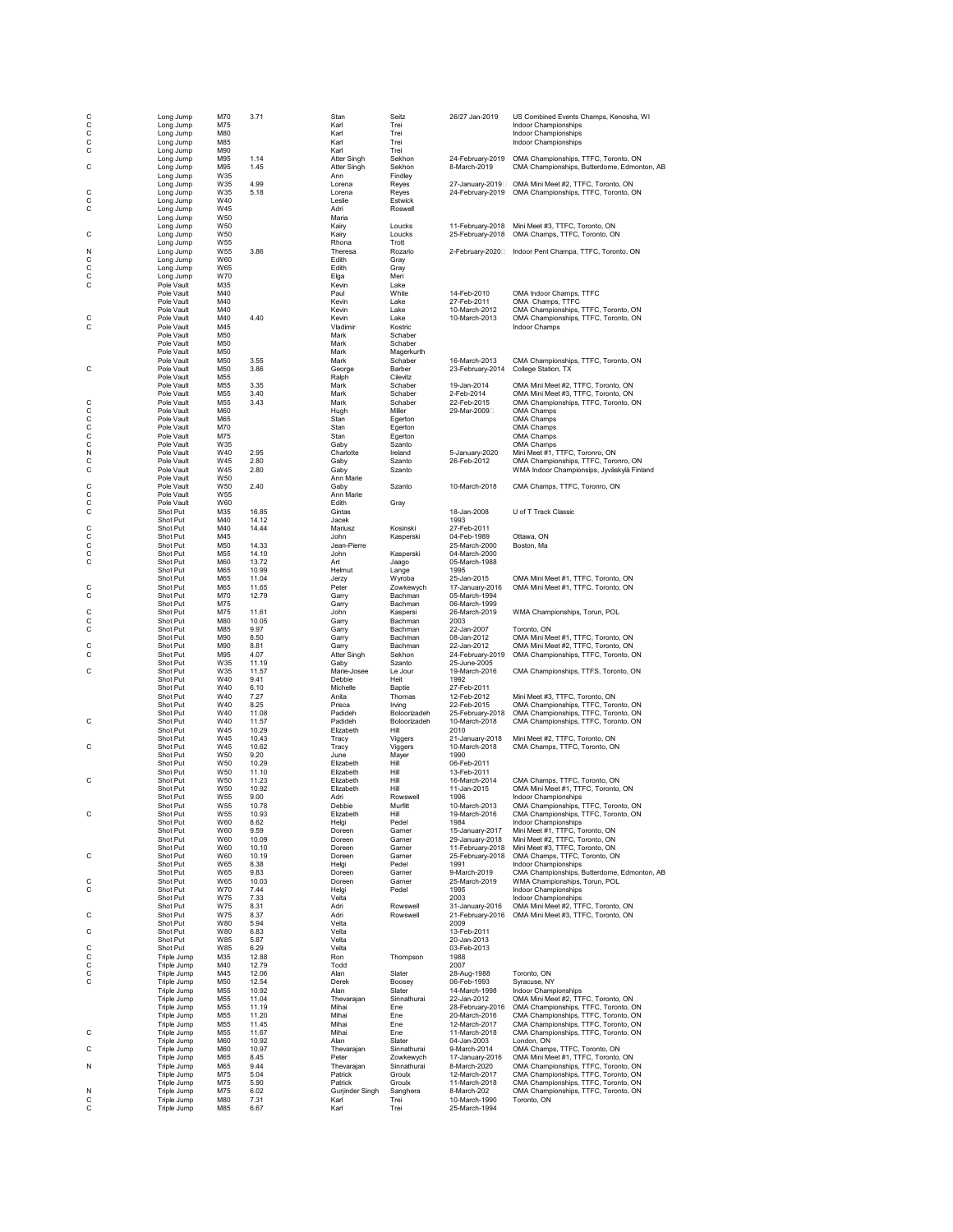| C<br>$\frac{c}{c}$ | Long Jump<br>Long Jump     | M70<br>M75             | 3.71           | Stan<br>Karl                      | Seitz<br>Trei                | 26/27 Jan-2019                       | US Combined Events Champs, Kenosha, WI<br>Indoor Championships                              |
|--------------------|----------------------------|------------------------|----------------|-----------------------------------|------------------------------|--------------------------------------|---------------------------------------------------------------------------------------------|
| $\mathsf{C}$       | Long Jump<br>Long Jump     | M80<br>M85             |                | Karl<br>Karl                      | Trei<br>Trei                 |                                      | Indoor Championships<br>Indoor Championships                                                |
| C                  | Long Jump                  | M90                    |                | Karl                              | Trei                         |                                      |                                                                                             |
| C                  | Long Jump<br>Long Jump     | M95<br>M95             | 1.14<br>1.45   | <b>Atter Singh</b><br>Atter Singh | Sekhon<br>Sekhon             | 24-February-2019<br>8-March-2019     | OMA Championships, TTFC, Toronto, ON<br>CMA Championships, Butterdome, Edmonton, AB         |
|                    | Long Jump                  | W35                    |                | Ann                               | Findley                      |                                      |                                                                                             |
| C                  | Long Jump<br>Long Jump     | W35<br>W35             | 4.99<br>5.18   | Lorena<br>Lorena                  | Reyes<br>Reyes               | 24-February-2019                     | 27-January-2019 OMA Mini Meet #2, TTFC, Toronto, ON<br>OMA Championships, TTFC, Toronto, ON |
| С                  | Long Jump                  | W40<br>W45             |                | Leslie<br>Adri                    | Estwick<br>Roswell           |                                      |                                                                                             |
| C                  | Long Jump<br>Long Jump     | W50                    |                | Maria                             |                              |                                      |                                                                                             |
| C                  | Long Jump<br>Long Jump     | W50<br>W50             |                | Kairy<br>Kairy                    | Loucks<br>Loucks             | 11-February-2018<br>25-February-2018 | Mini Meet #3, TTFC, Toronto, ON<br>OMA Champs, TTFC, Toronto, ON                            |
|                    | Long Jump                  | W55                    |                | Rhona                             | Trott                        |                                      |                                                                                             |
| N<br>C             | Long Jump<br>Long Jump     | W55<br>W60             | 3.86           | Theresa<br>Edith                  | Rozario<br>Gray              |                                      |                                                                                             |
| $\mathsf c$        | Long Jump                  | W65                    |                | Edith                             | Gray                         |                                      |                                                                                             |
| C<br>C             | Long Jump<br>Pole Vault    | W70<br>M35             |                | Elga<br>Kevin                     | Meri<br>Lake                 |                                      |                                                                                             |
|                    | Pole Vault                 | M40                    |                | Paul                              | White                        | 14-Feb-2010                          | OMA Indoor Champs, TTFC                                                                     |
|                    | Pole Vault<br>Pole Vault   | M40<br>M40             |                | Kevin<br>Kevin                    | Lake<br>Lake                 | 27-Feb-2011<br>10-March-2012         | OMA Champs, TTFC<br>CMA Championships, TTFC, Toronto, ON                                    |
| C                  | Pole Vault                 | M40                    | 4.40           | Kevin                             | Lake                         | 10-March-2013                        | OMA Championships, TTFC, Toronto, ON                                                        |
| C                  | Pole Vault<br>Pole Vault   | M45<br>M <sub>50</sub> |                | Vladimir<br>Mark                  | Kostric<br>Schaber           |                                      | <b>Indoor Champs</b>                                                                        |
|                    | Pole Vault<br>Pole Vault   | M50<br>M50             |                | Mark<br>Mark                      | Schaber<br>Magerkurth        |                                      |                                                                                             |
|                    | Pole Vault                 | M50                    | 3.55           | Mark                              | Schaber                      | 16-March-2013                        | CMA Championships, TTFC, Toronto, ON                                                        |
| C                  | Pole Vault<br>Pole Vault   | M50<br>M55             | 3.86           | George<br>Ralph                   | Barber<br>Cilevitz           | 23-February-2014                     | College Station, TX                                                                         |
|                    | Pole Vault                 | M55                    | 3.35           | Mark                              | Schaber                      | 19-Jan-2014                          | OMA Mini Meet #2, TTFC, Toronto, ON                                                         |
| C                  | Pole Vault<br>Pole Vault   | M55<br>M55             | 3.40<br>3.43   | Mark<br>Mark                      | Schaber<br>Schaber           | 2-Feb-2014<br>22-Feb-2015            | OMA Mini Meet #3, TTFC, Toronto, ON<br>OMA Championships, TTFC, Toronto, ON                 |
| C                  | Pole Vault                 | M60                    |                | Hugh                              | Miller                       | 29-Mar-2009                          | OMA Champs                                                                                  |
| ccc                | Pole Vault<br>Pole Vault   | M65<br>M70             |                | Stan<br>Stan                      | Egerton<br>Egerton           |                                      | OMA Champs<br>OMA Champs                                                                    |
|                    | Pole Vault                 | M75                    |                | Stan                              | Egerton                      |                                      | OMA Champs                                                                                  |
| N                  | Pole Vault<br>Pole Vault   | W35<br>W40             | 2.95           | Gaby<br>Charlotte                 | Szanto<br>Ireland            | 5-January-2020                       | OMA Champs<br>Mini Meet #1, TTFC, Toronro, ON                                               |
| $\mathsf c$        | Pole Vault                 | W45                    | 2.80           | Gaby                              | Szanto                       | 26-Feb-2012                          | OMA Championships, TTFC, Toronro, ON                                                        |
| C                  | Pole Vault<br>Pole Vault   | W45<br>W50             | 2.80           | Gaby<br>Ann Marie                 | Szanto                       |                                      | WMA Indoor Championsips, Jyväskylä Finland                                                  |
| C                  | Pole Vault                 | W50                    | 2.40           | Gaby                              | Szanto                       | 10-March-2018                        | CMA Champs, TTFC, Toronro, ON                                                               |
| C<br>C             | Pole Vault<br>Pole Vault   | W55<br>W60             |                | Ann Marie<br>Edith                | Gray                         |                                      |                                                                                             |
| C                  | Shot Put                   | M35                    | 16.85          | Gintas                            |                              | 18-Jan-2008                          | U of T Track Classic                                                                        |
| C                  | Shot Put<br>Shot Put       | M40<br>M40             | 14.12<br>14.44 | Jacek<br>Mariusz                  | Kosinski                     | 1993<br>27-Feb-2011                  |                                                                                             |
| C                  | Shot Put                   | M45                    |                | John<br>Jean-Pierre               | Kasperski                    | 04-Feb-1989                          | Ottawa, ON                                                                                  |
| C<br>C             | Shot Put<br>Shot Put       | M50<br>M55             | 14.33<br>14.10 | John                              | Kasperski                    | 25-March-2000<br>04-March-2000       | Boston, Ma                                                                                  |
| C                  | Shot Put<br>Shot Put       | M60<br>M65             | 13.72<br>10.99 | Art<br>Helmut                     | Jaago<br>Lange               | 05-March-1988<br>1995                |                                                                                             |
|                    | Shot Put                   | M65                    | 11.04          | Jerzy                             | Wyroba                       | 25-Jan-2015                          | OMA Mini Meet #1, TTFC, Toronto, ON                                                         |
| C<br>C             | Shot Put<br>Shot Put       | M65<br>M70             | 11.65<br>12.79 | Peter<br>Garry                    | Zowkewych<br>Bachman         | 17-January-2016<br>05-March-1994     | OMA Mini Meet #1, TTFC, Toronto, ON                                                         |
|                    | Shot Put                   | M75                    |                | Garry                             | Bachman                      | 06-March-1999                        |                                                                                             |
| C<br>С             | Shot Put<br>Shot Put       | M75<br>M80             | 11.61<br>10.05 | John<br>Garry                     | Kaspersi<br>Bachman          | 26-March-2019<br>2003                | WMA Championships, Torun, POL                                                               |
| C                  | Shot Put                   | M85                    | 9.97           | Garry                             | Bachman                      | 22-Jan-2007                          | Toronto, ON                                                                                 |
| C                  | Shot Put<br>Shot Put       | M90<br>M90             | 8.50<br>8.81   | Garry<br>Garry                    | Bachman<br>Bachman           | 08-Jan-2012<br>22-Jan-2012           | OMA Mini Meet #1, TTFC, Toronto, ON<br>OMA Mini Meet #2, TTFC, Toronto, ON                  |
| C                  | Shot Put                   | M95                    | 4.07           | Atter Singh                       | Sekhon                       | 24-February-2019                     | OMA Championships, TTFC, Toronto, ON                                                        |
| C                  | Shot Put<br>Shot Put       | W35<br>W35             | 11.19<br>11.57 | Gaby<br>Marie-Josee               | Szanto<br>Le Jour            | 25-June-2005<br>19-March-2016        | CMA Championships, TTFS, Toronto, ON                                                        |
|                    | Shot Put                   | W40                    | 9.41           | Debbie                            | Heit                         | 1992                                 |                                                                                             |
|                    | Shot Put<br>Shot Put       | W40<br>W40             | 6.10<br>7.27   | Michelle<br>Anita                 | Baptie<br>Thomas             | 27-Feb-2011<br>12-Feb-2012           | Mini Meet #3, TTFC, Toronto, ON                                                             |
|                    | Shot Put                   | W40                    | 8.25           | Prisca                            | Irving                       | 22-Feb-2015                          | OMA Championships, TTFC, Toronto, ON                                                        |
| C                  | Shot Put<br>Shot Put       | W40<br>W40             | 11.08<br>11.57 | Padideh<br>Padideh                | Boloorizadeh<br>Boloorizadeh | 25-February-2018<br>10-March-2018    | OMA Championships, TTFC, Toronto, ON<br>CMA Championships, TTFC, Toronto, ON                |
|                    | Shot Put<br>Shot Put       | W45<br>W45             | 10.29<br>10.43 | Elizabeth<br>Tracy                | Hill                         | 2010<br>21-January-2018              | Mini Meet #2, TTFC, Toronto, ON                                                             |
| C                  | Shot Put                   | W45                    | 10.62          | Tracy                             | Viggers<br>Viggers           | 10-March-2018                        | CMA Champs, TTFC, Toronto, ON                                                               |
|                    | Shot Put<br>Shot Put       | W50<br>W50             | 9.20<br>10.29  | June<br>Elizabeth                 | Mayer<br>Hill                | 1990<br>06-Feb-2011                  |                                                                                             |
|                    | Shot Put                   | W50                    | 11.10          | Elizabeth                         | Hill                         | 13-Feb-2011                          |                                                                                             |
| C                  | Shot Put<br>Shot Put       | W50<br>W50             | 11.23<br>10.92 | Elizabeth<br>Elizabeth            | Hill<br>Hill                 | 16-March-2014<br>11-Jan-2015         | CMA Champs, TTFC, Toronto, ON<br>OMA Mini Meet #1, TTFC, Toronto, ON                        |
|                    | Shot Put                   | W55                    | 9.00           | Adri                              | Rowswell                     | 1996                                 | Indoor Championships                                                                        |
| С                  | Shot Put<br>Shot Put       | W <sub>55</sub><br>W55 | 10.78<br>10.93 | Debbie<br>Elizabeth               | Murfitt<br>Hill              | 10-March-2013<br>19-March-2016       | OMA Championships, TTFC, Toronto, ON<br>CMA Championships, TTFC, Toronto, ON                |
|                    | Shot Put                   | W60                    | 8.62           | Helgi                             | Pedel                        | 1984                                 | Indoor Championships                                                                        |
|                    | Shot Put<br>Shot Put       | W60<br>W60             | 9.59<br>10.09  | Doreen<br>Doreen                  | Garner<br>Garner             | 15-January-2017<br>29-January-2018   | Mini Meet #1, TTFC, Toronto, ON<br>Mini Meet #2, TTFC, Toronto, ON                          |
|                    | Shot Put                   | W60                    | 10.10          | Doreen                            | Garner                       | 11-February-2018                     | Mini Meet #3, TTFC, Toronto, ON                                                             |
| C                  | Shot Put<br>Shot Put       | W60<br>W65             | 10.19<br>8.38  | Doreen<br>Helgi                   | Garner<br>Pedel              | 25-February-2018<br>1991             | OMA Champs, TTFC, Toronto, ON<br>Indoor Championships                                       |
|                    | Shot Put                   | W65                    | 9.83           | Doreen                            | Garner                       | 9-March-2019                         | CMA Championships, Butterdome, Edmonton, AB                                                 |
| C<br>С             | Shot Put<br>Shot Put       | W65<br>W70             | 10.03<br>7.44  | Doreen<br>Helgi                   | Garner<br>Pedel              | 25-March-2019<br>1995                | WMA Championships, Torun, POL<br>Indoor Championships                                       |
|                    | Shot Put                   | W75                    | 7.33           | Velta                             |                              | 2003                                 | Indoor Championships                                                                        |
| C                  | Shot Put<br>Shot Put       | W75<br>W75             | 8.31<br>8.37   | Adri<br>Adri                      | Rowswell<br>Rowswell         | 31-January-2016<br>21-February-2016  | OMA Mini Meet #2, TTFC, Toronto, ON<br>OMA Mini Meet #3, TTFC, Toronto, ON                  |
|                    | Shot Put                   | W80                    | 5.94           | Velta                             |                              | 2009                                 |                                                                                             |
| C                  | Shot Put<br>Shot Put       | W80<br>W85             | 6.83<br>5.87   | Velta<br>Velta                    |                              | 13-Feb-2011<br>20-Jan-2013           |                                                                                             |
| C                  | Shot Put                   | W85                    | 6.29           | Velta                             |                              | 03-Feb-2013                          |                                                                                             |
| C                  | Triple Jump<br>Triple Jump | M35<br>M40             | 12.88<br>12.79 | Ron<br>Todd                       | Thompson                     | 1988<br>2007                         |                                                                                             |
| $\frac{c}{c}$      | Triple Jump                | M45                    | 12.06          | Alan                              | Slater                       | 28-Aug-1988                          | Toronto, ON                                                                                 |
| $\mathbf c$        | Triple Jump<br>Triple Jump | M50<br>M55             | 12.54<br>10.92 | Derek<br>Alan                     | Boosey<br>Slater             | 06-Feb-1993<br>14-March-1998         | Syracuse, NY<br>Indoor Championships                                                        |
|                    | Triple Jump                | M55                    | 11.04          | Thevarajan                        | Sinnathurai                  | 22-Jan-2012                          | OMA Mini Meet #2, TTFC, Toronto, ON                                                         |
|                    | Triple Jump<br>Triple Jump | M55<br>M55             | 11.19<br>11.20 | Mihai<br>Mihai                    | Ene<br>Ene                   | 28-February-2016<br>20-March-2016    | OMA Championships, TTFC, Toronto, ON<br>CMA Championships, TTFC, Toronto, ON                |
|                    | Triple Jump                | M55                    | 11.45          | Mihai                             | Ene                          | 12-March-2017                        | CMA Championships, TTFC, Toronto, ON                                                        |
| C                  | Triple Jump<br>Triple Jump | M55<br>M60             | 11.67<br>10.92 | Mihai<br>Alan                     | Ene<br>Slater                | 11-March-2018<br>04-Jan-2003         | CMA Championships, TTFC, Toronto, ON<br>London, ON                                          |
| C                  | Triple Jump                | M60                    | 10.97          | Thevarajan                        | Sinnathurai                  | 9-March-2014                         | OMA Champs, TTFC, Toronto, ON                                                               |
| N                  | Triple Jump<br>Triple Jump | M65<br>M65             | 8.45<br>9.44   | Peter<br>Thevarajan               | Zowkewych<br>Sinnathurai     | 17-January-2016<br>8-March-2020      | OMA Mini Meet #1, TTFC, Toronto, ON<br>OMA Championships, TTFC, Toronto, ON                 |
|                    | Triple Jump                | M75                    | 5.04           | Patrick                           | Groulx                       | 12-March-2017                        | CMA Championships, TTFC, Toronto, ON                                                        |
| N                  | Triple Jump<br>Triple Jump | M75<br>M75             | 5.90<br>6.02   | Patrick<br>Gurjinder Singh        | Groulx<br>Sanghera           | 11-March-2018<br>8-March-202         | CMA Championships, TTFC, Toronto, ON<br>OMA Championships, TTFC, Toronto, ON                |
| C<br>C             | Triple Jump<br>Triple Jump | M80<br>M85             | 7.31<br>6.67   | Karl<br>Karl                      | Trei<br>Trei                 | 10-March-1990<br>25-March-1994       | Toronto, ON                                                                                 |
|                    |                            |                        |                |                                   |                              |                                      |                                                                                             |